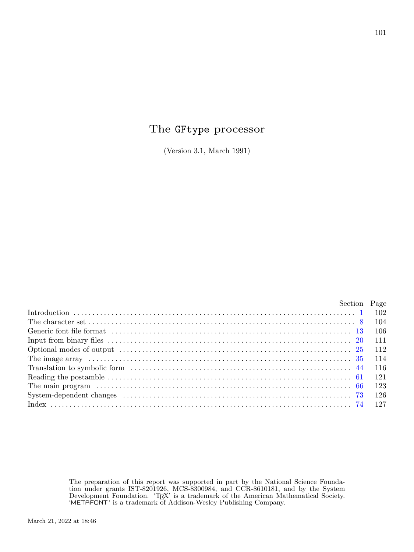# The GFtype processor

(Version 3.1, March 1991)

|                                                                                                                                                                                                                                | Section Page |  |
|--------------------------------------------------------------------------------------------------------------------------------------------------------------------------------------------------------------------------------|--------------|--|
|                                                                                                                                                                                                                                |              |  |
|                                                                                                                                                                                                                                |              |  |
|                                                                                                                                                                                                                                |              |  |
|                                                                                                                                                                                                                                |              |  |
| Optional modes of output (a) in the context of the context of the context of the context of the context of the context of the context of the context of the context of the context of the context of the context of the contex |              |  |
|                                                                                                                                                                                                                                |              |  |
|                                                                                                                                                                                                                                |              |  |
|                                                                                                                                                                                                                                |              |  |
|                                                                                                                                                                                                                                |              |  |
|                                                                                                                                                                                                                                |              |  |
|                                                                                                                                                                                                                                |              |  |
|                                                                                                                                                                                                                                |              |  |

The preparation of this report was supported in part by the National Science Foundation under grants IST-8201926, MCS-8300984, and CCR-8610181, and by the System Development Foundation. 'TEX' is a trademark of the American Mathematical Society. 'METAFONT' is a trademark of Addison-Wesley Publishing Company.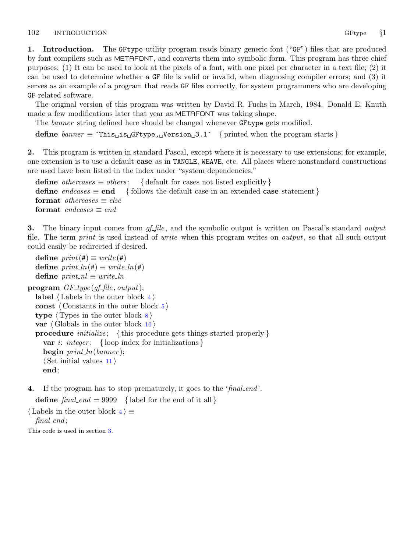<span id="page-1-0"></span>1. Introduction. The GFtype utility program reads binary generic-font ("GF") files that are produced by font compilers such as METAFONT, and converts them into symbolic form. This program has three chief purposes: (1) It can be used to look at the pixels of a font, with one pixel per character in a text file; (2) it can be used to determine whether a GF file is valid or invalid, when diagnosing compiler errors; and (3) it serves as an example of a program that reads GF files correctly, for system programmers who are developing GF-related software.

The original version of this program was written by David R. Fuchs in March, 1984. Donald E. Knuth made a few modifications later that year as METAFONT was taking shape.

The banner string defined here should be changed whenever GFtype gets modified.

define  $\text{banner} \equiv \text{`This} \sqcup \text{is} \sqcup \text{GFtype}$ ,  $\sqcup \text{Version} \sqcup 3.1'$  { printed when the program starts }

2. This program is written in standard Pascal, except where it is necessary to use extensions; for example, one extension is to use a default case as in TANGLE, WEAVE, etc. All places where nonstandard constructions are used have been listed in the index under "system dependencies."

define *othercases*  $\equiv$  *others*: { default for cases not listed explicitly } define endcases  $\equiv$  end { follows the default case in an extended case statement } format *othercases*  $\equiv$  *else* format endcases  $\equiv$  end

**3.** The binary input comes from  $gf$ -file, and the symbolic output is written on Pascal's standard *output* file. The term *print* is used instead of *write* when this program writes on *output*, so that all such output could easily be redirected if desired.

```
define print(\textbf{\#}) \equiv write(\textbf{\#})define print\_ln(F) \equiv write\_ln(F)define print\_nl \equiv write\_lnprogram GF\_type(gf\_file, output);label \langle Labels in the outer block 4\rangleconst \langle Constants in the outer block 5 \rangletype \langle Types in the outer block \langle8 \ranglevar \langle10 \rangleprocedure initialize; {this procedure gets things started properly }
     var i: integer; { loop index for initializations }
     begin print\_ln(banner);\langle11 \rangleend;
```
4. If the program has to stop prematurely, it goes to the 'final end'.

define  $\text{final-end} = 9999$  { label for the end of it all }

 $\langle$  Labels in the outer block  $4 \rangle \equiv$  $final$ :

This code is used in section 3.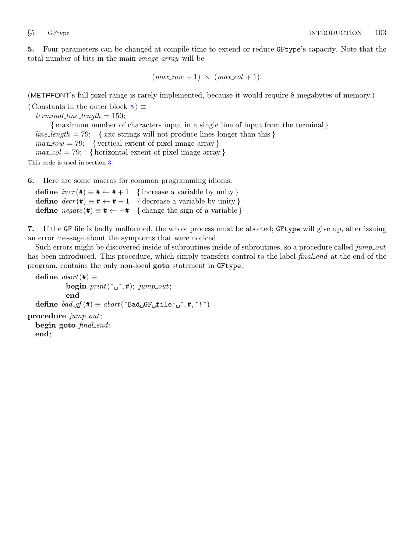<span id="page-2-0"></span>5. Four parameters can be changed at compile time to extend or reduce GFtype's capacity. Note that the total number of bits in the main *image\_array* will be

```
(max_{av} + 1) \times (max_{av} - col + 1).
```
(METAFONT's full pixel range is rarely implemented, because it would require 8 megabytes of memory.)

 $\langle$  Constants in the outer block 5 $\rangle \equiv$  $terminal\_line\_length = 150;$ { maximum number of characters input in a single line of input from the terminal } line length = 79; {  $xxx$  strings will not produce lines longer than this }  $max_{1}row = 79;$  { vertical extent of pixel image array }  $max_{c} col = 79;$  {horizontal extent of pixel image array}

This code is used in section [3](#page-1-0).

6. Here are some macros for common programming idioms.

define  $incr(\#) \equiv \# \leftarrow \# + 1$  {increase a variable by unity} define  $decr(\#) \equiv \# \leftarrow \# - 1$  { decrease a variable by unity } define  $\text{negative}(\#) \equiv \# \leftarrow -\#$  { change the sign of a variable }

7. If the GF file is badly malformed, the whole process must be aborted; GFtype will give up, after issuing an error message about the symptoms that were noticed.

Such errors might be discovered inside of subroutines inside of subroutines, so a procedure called jump out has been introduced. This procedure, which simply transfers control to the label final end at the end of the program, contains the only non-local goto statement in GFtype.

```
define abort(\#) \equivbegin print(\ulcorner \_ \lnot, \#); jump\_out;end
  define bad\_gf(\#) \equiv abort('Bad \_GF \_file:\_',\#, '!')procedure jump\_out;begin goto final_end;
  end;
```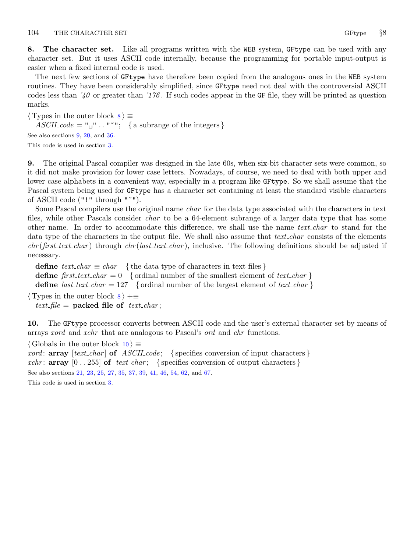<span id="page-3-0"></span>8. The character set. Like all programs written with the WEB system, GFtype can be used with any character set. But it uses ASCII code internally, because the programming for portable input-output is easier when a fixed internal code is used.

The next few sections of GFtype have therefore been copied from the analogous ones in the WEB system routines. They have been considerably simplified, since GFtype need not deal with the controversial ASCII codes less than  $\angle 40$  or greater than  $\angle 176$ . If such codes appear in the GF file, they will be printed as question marks.

 $\langle$  Types in the outer block  $\langle$   $\rangle \equiv$  $ASCII\_code = "u" ... "''';$  { a subrange of the integers } See also sections 9, [20,](#page-10-0) and [36.](#page-13-0) This code is used in section [3](#page-1-0).

9. The original Pascal compiler was designed in the late 60s, when six-bit character sets were common, so it did not make provision for lower case letters. Nowadays, of course, we need to deal with both upper and lower case alphabets in a convenient way, especially in a program like GFtype. So we shall assume that the Pascal system being used for GFtype has a character set containing at least the standard visible characters of ASCII code ("!" through "~").

Some Pascal compilers use the original name char for the data type associated with the characters in text files, while other Pascals consider *char* to be a 64-element subrange of a larger data type that has some other name. In order to accommodate this difference, we shall use the name *text<sub>-char*</sub> to stand for the data type of the characters in the output file. We shall also assume that *text char* consists of the elements  $chr(first.text\_char)$  through  $chr(last.text\_char)$ , inclusive. The following definitions should be adjusted if necessary.

define  $text_{cchar} \equiv char$  { the data type of characters in text files } define first text char = 0 { ordinal number of the smallest element of text char } define *last\_text\_char* = 127 { ordinal number of the largest element of text\_char }  $\langle$  Types in the outer block  $\langle$   $\rangle$  + $\equiv$ 

text\_file = packed file of text\_char;

10. The GFtype processor converts between ASCII code and the user's external character set by means of arrays xord and xchr that are analogous to Pascal's ord and chr functions.

 $\langle$  Globals in the outer block 10  $\rangle \equiv$ *xord*:  $array [text{\n*char*] of *ASCII-code*; {species conversion of input characters}$ xchr: **array**  $[0 \tcdot 255]$  of text charged set specifies conversion of output characters  $\}$ See also sections [21](#page-10-0), [23,](#page-10-0) [25](#page-11-0), [27](#page-11-0), [35,](#page-13-0) [37](#page-13-0), [39,](#page-13-0) [41,](#page-14-0) [46](#page-15-0), [54,](#page-18-0) [62,](#page-20-0) and [67.](#page-22-0) This code is used in section [3](#page-1-0).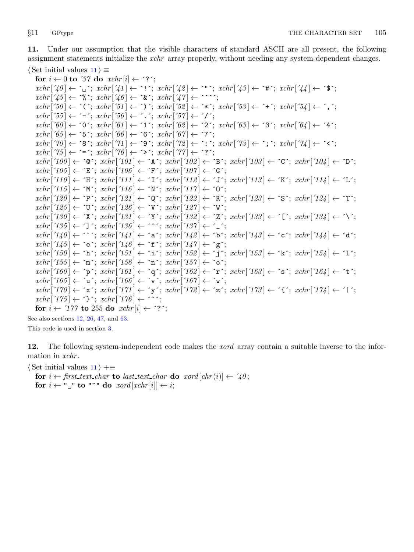<span id="page-4-0"></span>11. Under our assumption that the visible characters of standard ASCII are all present, the following assignment statements initialize the *xchr* array properly, without needing any system-dependent changes.  $\langle$  Set initial values 11  $\rangle \equiv$ 

for  $i \leftarrow 0$  to '37 do  $xchr[i] \leftarrow$  '?';  $xchr[740] \leftarrow \ulcorner_1$ ;  $xchr[74] \leftarrow \ulcorner!$ ;  $xchr[74] \leftarrow \ulcorner!$ ;  $xchr[74] \leftarrow \ulcorner*$ ;  $xchr[74] \leftarrow \ulcorner*$ ;  $xchr['45] \leftarrow \mathcal{X}$ ;  $xchr['46] \leftarrow \mathcal{X}$ ;  $xchr['47] \leftarrow \mathcal{Y}$ ;  $xchr[50] \leftarrow \checkmark$ ;  $xchr[51] \leftarrow \checkmark$ ;  $xchr[52] \leftarrow \checkmark$ ;  $xchr[53] \leftarrow \checkmark$ ;  $xchr[54] \leftarrow \checkmark$ ;  $xchr['55] \leftarrow -$ ;  $xchr['56] \leftarrow$ .;  $xchr['57] \leftarrow '$  $xchr['60] \leftarrow '0'; xchr['61] \leftarrow '1'; xchr['62] \leftarrow '2'; xchr['63] \leftarrow '3'; xchr['64] \leftarrow '4';$  $xchr['65] \leftarrow 5$ ;  $xchr['66] \leftarrow 6$ ;  $xchr['67] \leftarrow 7$ ;  $xchr[70] \leftarrow$  '8';  $xchr[71] \leftarrow$  '9';  $xchr[72] \leftarrow$  ':';  $xchr[73] \leftarrow$ '; ';  $xchr[74] \leftarrow$  '<';  $xchr['75] \leftarrow \equiv \div; xchr['76] \leftarrow \leftrightarrow \div; xchr['77] \leftarrow \div \div;$  $xchr['100] \leftarrow$   $\circ \mathbb{C}$ ;  $xchr['101] \leftarrow \mathbb{A}$ ;  $xchr['102] \leftarrow \mathbb{B}$ ;  $xchr['103] \leftarrow \mathbb{C}$ ;  $xchr['104] \leftarrow \mathbb{D}$ ;  $xchr['105] \leftarrow \text{'}E'; xchr['106] \leftarrow \text{'}F'; xchr['107] \leftarrow \text{'}G';$  $xchr['110] \leftarrow \text{`H}\text{`; } xchr['111] \leftarrow \text{`I}\text{`; } xchr['112] \leftarrow \text{`J}\text{`; } xchr['113] \leftarrow \text{`K}\text{`; } xchr['114] \leftarrow \text{`L}\text{`;}$  $xchr['115] \leftarrow \gamma' xchr['116] \leftarrow \gamma' xchr['117] \leftarrow \gamma'$ ;  $xchr['120] \leftarrow \text{'}P'; xchr['121] \leftarrow \text{'}Q'; xchr['122] \leftarrow \text{'}R'; xchr['123] \leftarrow \text{'}S'; xchr['124] \leftarrow \text{'}T';$  $xchr['125] \leftarrow \text{`U'}$ ;  $xchr['126] \leftarrow \text{`V'}$ ;  $xchr['127] \leftarrow \text{`W'}$ ;  $xchr['130] \leftarrow \text{'}X'; xchr['131] \leftarrow \text{'}Y'; xchr['132] \leftarrow \text{'}Z'; xchr['133] \leftarrow \text{'}[t'; xchr['134] \leftarrow \text{'}Y'; xchr['134] \leftarrow \text{'}Y'; xchr['135] \leftarrow \text{'}Z'; xchr['136] \leftarrow \text{'}Y'; xchr['136] \leftarrow \text{'}Y'; xchr['137] \leftarrow \text{'}Y'; xchr['138] \leftarrow \text{'}Y'; xchr['138] \leftarrow \text{'}Y'; xchr['138] \leftarrow \text{'}$  $xchr['135] \leftarrow \text{'}$ ;  $xchr['136] \leftarrow \text{'}$ ;  $xchr['137] \leftarrow \text{'}$ ;  $xchr['140] \leftarrow \cdots$ ;  $xchr['141] \leftarrow 'a$ ;  $xchr['142] \leftarrow 'b$ ;  $xchr['143] \leftarrow 'c$ ;  $xchr['144] \leftarrow 'a'$ ;  $xchr['145] \leftarrow \text{`e'}; xchr['146] \leftarrow \text{`f'}; xchr['147] \leftarrow \text{`g'};$  $xchr['150] \leftarrow \text{`h'}; xchr['151] \leftarrow \text{`i'}; xchr['152] \leftarrow \text{`j'}; xchr['153] \leftarrow \text{`k'}; xchr['154] \leftarrow \text{`1'};$  $xchr['155] \leftarrow \text{`m'}; xchr['156] \leftarrow \text{`n'}; xchr['157] \leftarrow \text{`o'};$  $xchr['160] \leftarrow \text{`p`; } xchr['161] \leftarrow \text{`q`; } xchr['162] \leftarrow \text{`r`; } xchr['163] \leftarrow \text{`s`; } xchr['164] \leftarrow \text{`t`;}$  $xchr['165] \leftarrow \text{`u'}; xchr['166] \leftarrow \text{`v'}; xchr['167] \leftarrow \text{`w'};$  $xchr['170] \leftarrow \text{'x'}; xchr['171] \leftarrow \text{'y'}; xchr['172] \leftarrow \text{'z'}; xchr['173] \leftarrow \text{'t'}; xchr['174] \leftarrow \text{'t'};$  $xchr['175] \leftarrow \text{'}$ ;  $xchr['176] \leftarrow \text{'}$ for  $i \leftarrow 777$  to 255 do  $xchr[i] \leftarrow ?$ ;

See also sections 12, [26,](#page-11-0) [47](#page-15-0), and [63.](#page-20-0) This code is used in section [3](#page-1-0).

12. The following system-independent code makes the *xord* array contain a suitable inverse to the information in xchr.

 $\langle$  Set initial values 11  $\rangle$  +≡

for  $i \leftarrow$  first\_text\_char to last\_text\_char do xord  $[chr(i)] \leftarrow '40$ ; for  $i \leftarrow$  " $\sqcup$ " to "<sup>\*</sup>" do xord [xchr[i]  $\leftarrow i$ ;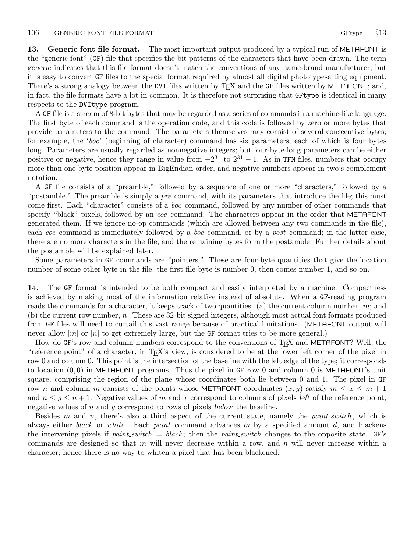<span id="page-5-0"></span>13. Generic font file format. The most important output produced by a typical run of METAFONT is the "generic font" (GF) file that specifies the bit patterns of the characters that have been drawn. The term generic indicates that this file format doesn't match the conventions of any name-brand manufacturer; but it is easy to convert GF files to the special format required by almost all digital phototypesetting equipment. There's a strong analogy between the DVI files written by T<sub>F</sub>X and the GF files written by METAFONT; and, in fact, the file formats have a lot in common. It is therefore not surprising that GFtype is identical in many respects to the DVItype program.

A GF file is a stream of 8-bit bytes that may be regarded as a series of commands in a machine-like language. The first byte of each command is the operation code, and this code is followed by zero or more bytes that provide parameters to the command. The parameters themselves may consist of several consecutive bytes; for example, the 'boc' (beginning of character) command has six parameters, each of which is four bytes long. Parameters are usually regarded as nonnegative integers; but four-byte-long parameters can be either positive or negative, hence they range in value from  $-2^{31}$  to  $2^{31} - 1$ . As in TFM files, numbers that occupy more than one byte position appear in BigEndian order, and negative numbers appear in two's complement notation.

A GF file consists of a "preamble," followed by a sequence of one or more "characters," followed by a "postamble." The preamble is simply a *pre* command, with its parameters that introduce the file; this must come first. Each "character" consists of a boc command, followed by any number of other commands that specify "black" pixels, followed by an eoc command. The characters appear in the order that METAFONT generated them. If we ignore no-op commands (which are allowed between any two commands in the file), each eoc command is immediately followed by a boc command, or by a post command; in the latter case, there are no more characters in the file, and the remaining bytes form the postamble. Further details about the postamble will be explained later.

Some parameters in GF commands are "pointers." These are four-byte quantities that give the location number of some other byte in the file; the first file byte is number 0, then comes number 1, and so on.

14. The GF format is intended to be both compact and easily interpreted by a machine. Compactness is achieved by making most of the information relative instead of absolute. When a GF-reading program reads the commands for a character, it keeps track of two quantities: (a) the current column number,  $m$ ; and (b) the current row number, n. These are 32-bit signed integers, although most actual font formats produced from GF files will need to curtail this vast range because of practical limitations. (METAFONT output will never allow  $|m|$  or  $|n|$  to get extremely large, but the GF format tries to be more general.)

How do GF's row and column numbers correspond to the conventions of T<sub>F</sub>X and METAFONT? Well, the "reference point" of a character, in TEX's view, is considered to be at the lower left corner of the pixel in row 0 and column 0. This point is the intersection of the baseline with the left edge of the type; it corresponds to location  $(0, 0)$  in METAFONT programs. Thus the pixel in GF row 0 and column 0 is METAFONT's unit square, comprising the region of the plane whose coordinates both lie between 0 and 1. The pixel in GF row n and column m consists of the points whose METAFONT coordinates  $(x, y)$  satisfy  $m \leq x \leq m + 1$ and  $n \leq y \leq n+1$ . Negative values of m and x correspond to columns of pixels left of the reference point; negative values of  $n$  and  $y$  correspond to rows of pixels below the baseline.

Besides m and n, there's also a third aspect of the current state, namely the *paint switch*, which is always either *black* or *white*. Each *paint* command advances  $m$  by a specified amount  $d$ , and blackens the intervening pixels if paint\_switch = black; then the paint\_switch changes to the opposite state.  $GF$ 's commands are designed so that  $m$  will never decrease within a row, and  $n$  will never increase within a character; hence there is no way to whiten a pixel that has been blackened.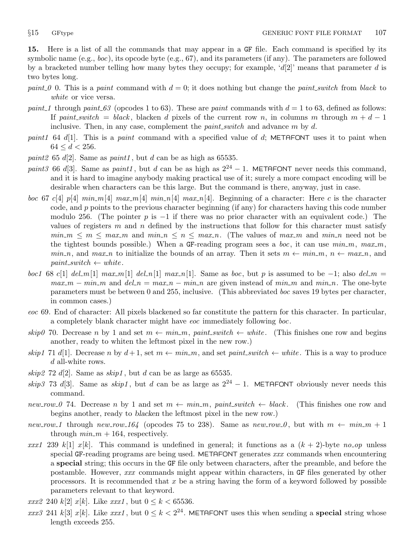<span id="page-6-0"></span>15. Here is a list of all the commands that may appear in a GF file. Each command is specified by its symbolic name  $(e.g., boc)$ , its opcode byte  $(e.g., 67)$ , and its parameters (if any). The parameters are followed by a bracketed number telling how many bytes they occupy; for example, ' $d[2]$ ' means that parameter d is two bytes long.

- paint 0 0. This is a paint command with  $d = 0$ ; it does nothing but change the paint switch from black to white or vice versa.
- paint 1 through paint  $63$  (opcodes 1 to 63). These are paint commands with  $d = 1$  to 63, defined as follows: If paint switch = black, blacken d pixels of the current row n, in columns m through  $m + d - 1$ inclusive. Then, in any case, complement the  $paint\_switch$  and advance  $m$  by  $d$ .
- paint1 64 d[1]. This is a paint command with a specified value of d; METAFONT uses it to paint when  $64 \leq d < 256$ .
- paint 2 65 d[2]. Same as paint 1, but d can be as high as 65535.
- paint3 66 d[3]. Same as paint1, but d can be as high as  $2^{24} 1$ . METAFONT never needs this command, and it is hard to imagine anybody making practical use of it; surely a more compact encoding will be desirable when characters can be this large. But the command is there, anyway, just in case.
- boc 67 c[4]  $p[4]$   $min_m[4]$   $max_m[4]$   $min_n[4]$   $max_n[4]$   $max_n[4]$ . Beginning of a character: Here c is the character code, and p points to the previous character beginning (if any) for characters having this code number modulo 256. (The pointer p is  $-1$  if there was no prior character with an equivalent code.) The values of registers m and n defined by the instructions that follow for this character must satisfy  $min_m \le m \le max_m$  and  $min_n \le n \le max_n$ . (The values of  $max_m$  and  $min_n$  need not be the tightest bounds possible.) When a GF-reading program sees a *boc*, it can use  $min_m$ ,  $max_m$ ,  $min_n$ , and  $max_n$  to initialize the bounds of an array. Then it sets  $m \leftarrow min_m$ ,  $n \leftarrow max_n$ , and  $paint\_switch \leftarrow white$ .
- boc1 68 c[1] del\_m[1] max\_m[1] del\_n[1] max\_n[1]. Same as boc, but p is assumed to be −1; also del\_m =  $max_{m} - min_{m}$  and  $del_{m} = max_{m} - min_{m}$  are given instead of  $min_{m}$  and  $min_{m}$ . The one-byte parameters must be between 0 and 255, inclusive. (This abbreviated boc saves 19 bytes per character, in common cases.)
- eoc 69. End of character: All pixels blackened so far constitute the pattern for this character. In particular, a completely blank character might have eoc immediately following boc.
- skip0 70. Decrease n by 1 and set  $m \leftarrow min_m$ , paint switch  $\leftarrow$  white. (This finishes one row and begins another, ready to whiten the leftmost pixel in the new row.)
- skip1 71 d[1]. Decrease n by  $d+1$ , set  $m \leftarrow min_{m}$ , and set paint switch  $\leftarrow$  white. This is a way to produce d all-white rows.
- skip2 72 d[2]. Same as  $skip1$ , but d can be as large as 65535.
- skip3 73 d[3]. Same as skip1, but d can be as large as  $2^{24} 1$ . METAFONT obviously never needs this command.
- new row 0 74. Decrease n by 1 and set  $m \leftarrow min_{m}$ , paint switch  $\leftarrow black$ . (This finishes one row and begins another, ready to blacken the leftmost pixel in the new row.)
- new row 1 through new row 164 (opcodes 75 to 238). Same as new row 0, but with  $m \leftarrow min_{m} + 1$ through  $min_m + 164$ , respectively.
- xxx1 239 k[1] x[k]. This command is undefined in general; it functions as a  $(k + 2)$ -byte no-op unless special GF-reading programs are being used. METAFONT generates xxx commands when encountering a special string; this occurs in the GF file only between characters, after the preamble, and before the postamble. However, xxx commands might appear within characters, in GF files generated by other processors. It is recommended that  $x$  be a string having the form of a keyword followed by possible parameters relevant to that keyword.
- *xxx2* 240 k[2] *x*[k]. Like *xxx1*, but  $0 \le k < 65536$ .
- xxx3 241 k[3] x[k]. Like xxx1, but  $0 \le k < 2^{24}$ . METAFONT uses this when sending a **special** string whose length exceeds 255.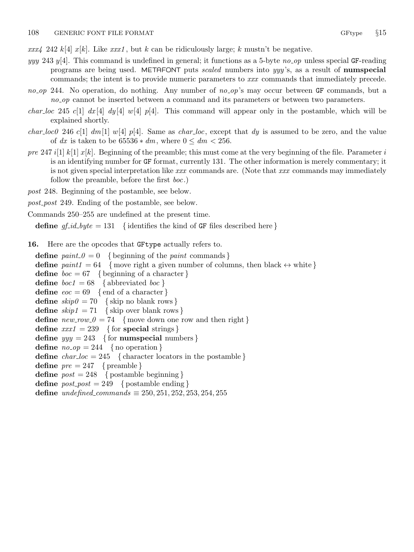<span id="page-7-0"></span> $xxx/4$  242 k[4] x[k]. Like xxx1, but k can be ridiculously large; k mustn't be negative.

- yyy 243 y[4]. This command is undefined in general; it functions as a 5-byte no op unless special GF-reading programs are being used. METAFONT puts *scaled* numbers into yyy's, as a result of **numspecial** commands; the intent is to provide numeric parameters to xxx commands that immediately precede.
- no op 244. No operation, do nothing. Any number of no op's may occur between GF commands, but a no op cannot be inserted between a command and its parameters or between two parameters.
- *char loc* 245 c[1]  $dx$  [4]  $dy$  [4]  $w$  [4]  $p$  [4]. This command will appear only in the postamble, which will be explained shortly.
- *char loc0* 246 c[1]  $dm[1]$  w[4] p[4]. Same as *char loc*, except that dy is assumed to be zero, and the value of dx is taken to be  $65536 * dm$ , where  $0 \leq dm < 256$ .
- pre 247 i[1] k[1]  $x[k]$ . Beginning of the preamble; this must come at the very beginning of the file. Parameter i is an identifying number for GF format, currently 131. The other information is merely commentary; it is not given special interpretation like  $xxx$  commands are. (Note that  $xxx$  commands may immediately follow the preamble, before the first boc.)
- post 248. Beginning of the postamble, see below.
- post post 249. Ending of the postamble, see below.
- Commands 250–255 are undefined at the present time.

define  $gf_id\_byte = 131$  { identifies the kind of GF files described here }

16. Here are the opcodes that GFtype actually refers to.

define  $paint_0 = 0$  { beginning of the *paint* commands } define  $paint1 = 64$  {move right a given number of columns, then black  $\leftrightarrow$  white } define  $boc = 67$  { beginning of a character } **define**  $boc1 = 68$  { abbreviated  $boc$  } **define**  $eoc = 69$  {end of a character} define  $skip0 = 70$  { skip no blank rows } define  $skip_1 = 71$  { skip over blank rows } define  $new_{1} = 74$  {move down one row and then right} define  $xxx1 = 239$  { for special strings } define  $yyy = 243$  { for numspecial numbers } define  $no\_op = 244$  { no operation } define  $char\_loc = 245$  { character locators in the postamble } define  $pre = 247$  { preamble } define  $post = 248$  { postamble beginning } define  $post\_post = 249$  { postamble ending } define undefined\_commands  $\equiv 250, 251, 252, 253, 254, 255$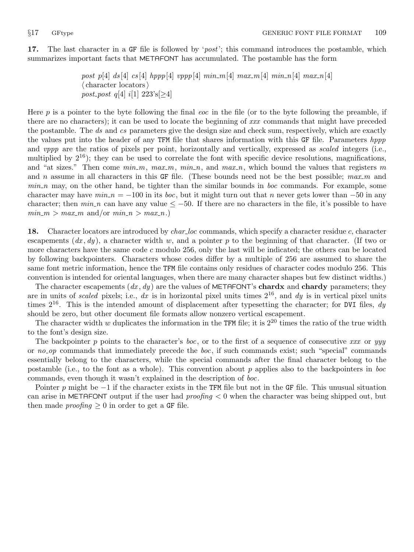<span id="page-8-0"></span>17. The last character in a GF file is followed by '*post*'; this command introduces the postamble, which summarizes important facts that METAFONT has accumulated. The postamble has the form

> post p[4] ds [4] cs [4] hppp [4] vppp [4] min\_m [4] max\_m [4] min\_n [4] max\_n [4]  $\langle$  character locators $\rangle$ post\_post q[4] i[1]  $223$ 's[ $\geq 4$ ]

Here  $p$  is a pointer to the byte following the final *eoc* in the file (or to the byte following the preamble, if there are no characters); it can be used to locate the beginning of xxx commands that might have preceded the postamble. The ds and cs parameters give the design size and check sum, respectively, which are exactly the values put into the header of any TFM file that shares information with this GF file. Parameters hppp and *vppp* are the ratios of pixels per point, horizontally and vertically, expressed as *scaled* integers (i.e., multiplied by  $2^{16}$ ); they can be used to correlate the font with specific device resolutions, magnifications, and "at sizes." Then come  $min_m$ ,  $max_m$ ,  $min_n$ , and  $max_n$ , which bound the values that registers m and n assume in all characters in this GF file. (These bounds need not be the best possible;  $max_m$  and  $min\_n$  may, on the other hand, be tighter than the similar bounds in *boc* commands. For example, some character may have  $min \ n = -100$  in its boc, but it might turn out that n never gets lower than  $-50$  in any character; then  $min_n$  can have any value  $\leq -50$ . If there are no characters in the file, it's possible to have  $min_m > max_m$  and/or  $min_n > max_n$ .

18. Character locators are introduced by *char-loc* commands, which specify a character residue c, character escapements  $(dx, dy)$ , a character width w, and a pointer p to the beginning of that character. (If two or more characters have the same code c modulo 256, only the last will be indicated; the others can be located by following backpointers. Characters whose codes differ by a multiple of 256 are assumed to share the same font metric information, hence the TFM file contains only residues of character codes modulo 256. This convention is intended for oriental languages, when there are many character shapes but few distinct widths.)

The character escapements  $(dx, dy)$  are the values of METAFONT's **chardx** and **chardy** parameters; they are in units of scaled pixels; i.e., dx is in horizontal pixel units times  $2^{16}$ , and dy is in vertical pixel units times  $2^{16}$ . This is the intended amount of displacement after typesetting the character; for DVI files, dy should be zero, but other document file formats allow nonzero vertical escapement.

The character width  $w$  duplicates the information in the TFM file; it is  $2^{20}$  times the ratio of the true width to the font's design size.

The backpointer p points to the character's boc, or to the first of a sequence of consecutive xxx or yyy or no op commands that immediately precede the boc, if such commands exist; such "special" commands essentially belong to the characters, while the special commands after the final character belong to the postamble (i.e., to the font as a whole). This convention about p applies also to the backpointers in boc commands, even though it wasn't explained in the description of boc.

Pointer p might be  $-1$  if the character exists in the TFM file but not in the GF file. This unusual situation can arise in METAFONT output if the user had *proofing*  $\lt 0$  when the character was being shipped out, but then made *proofing*  $\geq 0$  in order to get a GF file.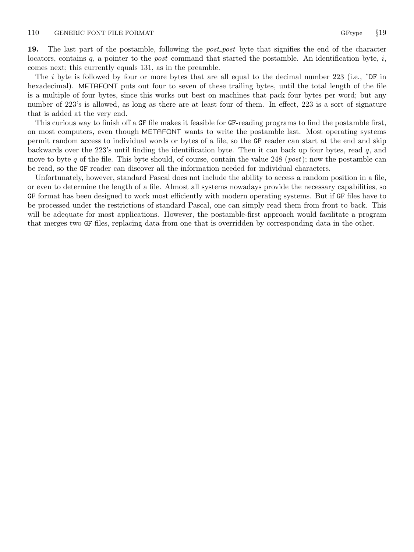<span id="page-9-0"></span>19. The last part of the postamble, following the *post-post* byte that signifies the end of the character locators, contains  $q$ , a pointer to the *post* command that started the postamble. An identification byte,  $i$ , comes next; this currently equals 131, as in the preamble.

The i byte is followed by four or more bytes that are all equal to the decimal number 223 (i.e.,  $\tilde{\mathbf{p}}$ F in hexadecimal). METAFONT puts out four to seven of these trailing bytes, until the total length of the file is a multiple of four bytes, since this works out best on machines that pack four bytes per word; but any number of 223's is allowed, as long as there are at least four of them. In effect, 223 is a sort of signature that is added at the very end.

This curious way to finish off a GF file makes it feasible for GF-reading programs to find the postamble first, on most computers, even though METAFONT wants to write the postamble last. Most operating systems permit random access to individual words or bytes of a file, so the GF reader can start at the end and skip backwards over the 223's until finding the identification byte. Then it can back up four bytes, read q, and move to byte q of the file. This byte should, of course, contain the value 248 (*post*); now the postamble can be read, so the GF reader can discover all the information needed for individual characters.

Unfortunately, however, standard Pascal does not include the ability to access a random position in a file, or even to determine the length of a file. Almost all systems nowadays provide the necessary capabilities, so GF format has been designed to work most efficiently with modern operating systems. But if GF files have to be processed under the restrictions of standard Pascal, one can simply read them from front to back. This will be adequate for most applications. However, the postamble-first approach would facilitate a program that merges two GF files, replacing data from one that is overridden by corresponding data in the other.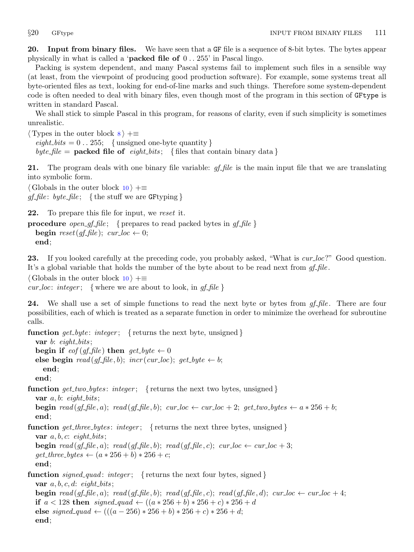<span id="page-10-0"></span>20. Input from binary files. We have seen that a GF file is a sequence of 8-bit bytes. The bytes appear physically in what is called a 'packed file of 0 . . 255' in Pascal lingo.

Packing is system dependent, and many Pascal systems fail to implement such files in a sensible way (at least, from the viewpoint of producing good production software). For example, some systems treat all byte-oriented files as text, looking for end-of-line marks and such things. Therefore some system-dependent code is often needed to deal with binary files, even though most of the program in this section of GFtype is written in standard Pascal.

We shall stick to simple Pascal in this program, for reasons of clarity, even if such simplicity is sometimes unrealistic.

 $\langle$  Types in the outer block  $\langle$   $\rangle$  +=  $\text{eight\_bits} = 0$ . 255; {unsigned one-byte quantity} byte file = **packed file of** eight bits; { files that contain binary data }

21. The program deals with one binary file variable: *gf\_file* is the main input file that we are translating into symbolic form.

 $\langle$  Globals in the outer block [10](#page-3-0)  $\rangle$  + $\equiv$ gf-file: byte-file; {the stuff we are GF typing}

22. To prepare this file for input, we reset it.

**procedure** *open\_gf\_file*; { prepares to read packed bytes in  $gf$ \_file } **begin** reset(gf-file); cur\_loc  $\leftarrow$  0; end;

23. If you looked carefully at the preceding code, you probably asked, "What is *cur-loc*?" Good question. It's a global variable that holds the number of the byte about to be read next from  $gf$ -file.

 $\langle$  Globals in the outer block [10](#page-3-0)  $\rangle$  +≡

*cur loc: integer*; { where we are about to look, in  $gf$ -file }

**24.** We shall use a set of simple functions to read the next byte or bytes from  $gf$ -file. There are four possibilities, each of which is treated as a separate function in order to minimize the overhead for subroutine calls.

function get byte: integer; { returns the next byte, unsigned } var  $b$ : eight\_bits; begin if  $\text{eof}(\text{qf}\text{-file})$  then  $\text{qet}\text{-}\text{byte} \leftarrow 0$ else begin  $read(gf_{\textit{file}}, b);$   $incr(var_{\textit{loc}});$   $get_{\textit{byte}} \leftarrow b;$ end; end; **function** get\_two\_bytes: integer; { returns the next two bytes, unsigned } var  $a, b: \text{ eight\_bits};$ **begin** read (gf\_file, a); read (gf\_file, b); cur\_loc  $\leftarrow$  cur\_loc + 2; get\_two\_bytes  $\leftarrow$  a  $*$  256 + b; end; **function** get three bytes: integer; { returns the next three bytes, unsigned } var  $a, b, c$ : eight\_bits; **begin** read (gf-file, a); read (gf-file, b); read (gf-file, c); cur-loc  $\leftarrow$  cur-loc + 3;  $get\_three\_bytes \leftarrow (a * 256 + b) * 256 + c;$ end; function  $signed\_quad$ : integer; { returns the next four bytes, signed } var  $a, b, c, d$ : eight\_bits; **begin** read (gf-file, a); read (gf-file, b); read (gf-file, c); read (gf-file, d); cur loc  $\leftarrow$  cur loc + 4; if  $a < 128$  then signed quad ←  $((a * 256 + b) * 256 + c) * 256 + d$ else signed\_quad  $\leftarrow (((a - 256) * 256 + b) * 256 + c) * 256 + d;$ end;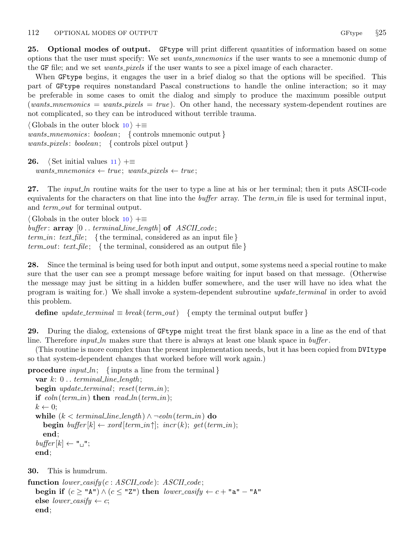<span id="page-11-0"></span>25. Optional modes of output. GFtype will print different quantities of information based on some options that the user must specify: We set *wants mnemonics* if the user wants to see a mnemonic dump of the GF file; and we set wants pixels if the user wants to see a pixel image of each character.

When GFtype begins, it engages the user in a brief dialog so that the options will be specified. This part of GFtype requires nonstandard Pascal constructions to handle the online interaction; so it may be preferable in some cases to omit the dialog and simply to produce the maximum possible output  $(wants_mn$ emonics = wants pixels = true). On other hand, the necessary system-dependent routines are not complicated, so they can be introduced without terrible trauma.

 $\langle$  Globals in the outer block [10](#page-3-0)  $\rangle$  +≡ wants\_mnemonics: boolean; { controls mnemonic output } wants pixels : boolean; { controls pixel output }

26.  $\langle$  Set initial values [11](#page-4-0)  $\rangle$  +≡  $wants$ -mnemonics  $\leftarrow true$ ; wants-pixels  $\leftarrow true$ ;

27. The *input ln* routine waits for the user to type a line at his or her terminal; then it puts ASCII-code equivalents for the characters on that line into the *buffer* array. The term in file is used for terminal input, and *term\_out* for terminal output.

 $\langle$  Globals in the outer block [10](#page-3-0)  $\rangle$  +≡ buffer:  $array [0..terminal-line_length]$  of  $ASCII_code;$ term in: text file; {the terminal, considered as an input file} term out: text file; {the terminal, considered as an output file}

28. Since the terminal is being used for both input and output, some systems need a special routine to make sure that the user can see a prompt message before waiting for input based on that message. (Otherwise the message may just be sitting in a hidden buffer somewhere, and the user will have no idea what the program is waiting for.) We shall invoke a system-dependent subroutine *update\_terminal* in order to avoid this problem.

**define**  $update\_terminal \equiv break(term.out)$  {empty the terminal output buffer }

29. During the dialog, extensions of GFtype might treat the first blank space in a line as the end of that line. Therefore *input ln* makes sure that there is always at least one blank space in  $buffer$ .

(This routine is more complex than the present implementation needs, but it has been copied from DVItype so that system-dependent changes that worked before will work again.)

**procedure** input ln; {inputs a line from the terminal}

```
var k: 0... terminal_line_length;
begin update_terminal; reset(term_in);if eoln(term_in) then read\_ln(term_in);
k \leftarrow 0:
while (k < terminal\_line\_length) \land \neg eoln(term\_in) do
   begin buffer [k] \leftarrow x \text{ord}[\text{term}_i, \text{in} \text{cr}(k); \text{get}(\text{term}_i, \text{in});
   end;
\mathit{buffer}[k] \leftarrow "[]";end;
```
30. This is humdrum.

```
function lower\text{-}asify(c : ASCII\text{-}code): ASCII\text{-}code;begin if (c \geq \text{``A''}) \wedge (c \leq \text{``Z''}) then lower\text{--}casify \leftarrow c + \text{``a''} - \text{``A''}else lower_casify \leftarrow c;
   end;
```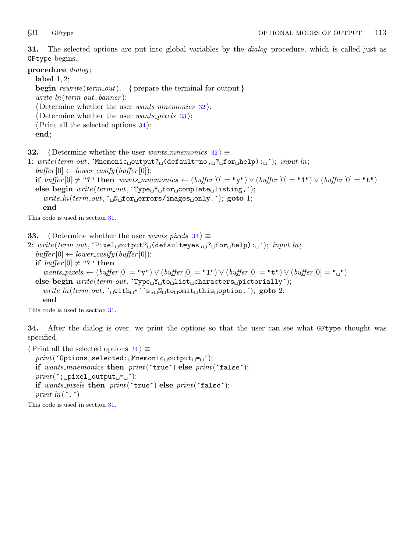<span id="page-12-0"></span>31. The selected options are put into global variables by the dialog procedure, which is called just as GFtype begins.

procedure dialog;

label 1, 2; **begin** rewrite (term out); { prepare the terminal for output }  $write\_ln(term\_out, banner);$  $\langle$  Determine whether the user *wants\_mnemonics* 32 $\rangle$ ;  $\langle$  Determine whether the user *wants\_pixels* 33 $\rangle$ ;  $\langle$  Print all the selected options 34 $\rangle$ ; end;

**32.**  $\langle$  Determine whether the user wants mnemonics  $32 \rangle \equiv$ 

1:  $write(term.out, 'Mnemonic<sub>u</sub>output?_{u}(default=no, u?_{u}for<sub>u</sub>help):<sub>u</sub>'); input<sub>u</sub>$  $buffer[0] \leftarrow lower\_{\text{cavity}} (buffer[0]);$ if buffer  $[0]$  ≠ "?" then wants mnemonics ←  $(b$ uffer  $[0] = "y") \vee (buffer [0] = "1") \vee (buffer [0] = "t")$ else begin  $write(term\_out, \text{Type}_1 Y_{\sqcup} for \sqcup complete\_listing,$ ;  $write\_ln(term\_out, \lceil_{\text{uN}} \rceil$  for errors/images only. (); goto 1; end

This code is used in section 31.

**33.**  $\langle$  Determine whether the user wants pixels 33  $\rangle \equiv$ 

2:  $write(term\_out, 'pixel\_output? \cup (default = yes, \cup ? \cup for\_help): \cup')$ ;  $input\_ln;$  $buffer[0] \leftarrow lower\_{\text{c}}(buffer[0])$ ; if  $buffer[0] \neq$  "?" then wants\_pixels ← (buffer $[0] = "y") \vee (buffer [0] = "1") \vee (buffer [0] = "t") \vee (buffer [0] = "u")$ else begin  $write(term.out, \text{Type_UY_Uto_Ulist_U} characters \text{upictorially}');$  $write\_ln(term\_out, \lceil_{\text{with}} \cdot \rceil^* s, \lceil_{\text{in}} \cdot \text{with\_t} \cdot \text{in} \cdot s, \lceil_{\text{in}} \cdot \text{with\_t} \cdot \text{with\_t} \cdot s, \lceil_{\text{in}} \cdot \text{in} \cdot s, \lceil_{\text{in}} \cdot \text{in} \cdot s \rceil, \lceil_{\text{in}} \cdot \text{in} \cdot s \rceil, \lceil_{\text{in}} \cdot \text{in} \cdot s \rceil, \lceil_{\text{in}} \cdot \text{in} \cdot s \rceil, \lceil_{\text{in}} \cdot \text{in} \cdot s \rceil$ end

This code is used in section 31.

34. After the dialog is over, we print the options so that the user can see what GFtype thought was specified.

```
\langle Print all the selected options 34 \rangle \equivprint('Options
selected:
Mnemonic

coutput

<sub>1</sub>-
<sub>1</sub><sup>-</sup>);
  if wants_mnemonics then print('true') else print('false');print(';<sub>\sqcup</sub>pixel\sqcupoutput\sqcup=\sqcup');
  if wants_pixels then print('true') else print('false');print\_ln(\cdot, \cdot)
```
This code is used in section 31.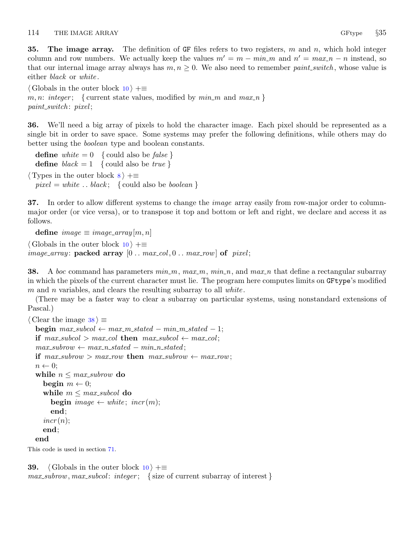<span id="page-13-0"></span>**35. The image array.** The definition of GF files refers to two registers,  $m$  and  $n$ , which hold integer column and row numbers. We actually keep the values  $m' = m - min$  and  $n' = max n - n$  instead, so that our internal image array always has  $m, n \geq 0$ . We also need to remember *paint switch*, whose value is either *black* or *white*.

 $\langle$  Globals in the outer block [10](#page-3-0)  $\rangle$  +≡ m, n: integer; { current state values, modified by  $min_m$  and  $max_n$ } paint\_switch: pixel;

36. We'll need a big array of pixels to hold the character image. Each pixel should be represented as a single bit in order to save space. Some systems may prefer the following definitions, while others may do better using the boolean type and boolean constants.

define white  $= 0 \{$  could also be false } define  $black = 1$  { could also be *true* }  $\langle$  Types in the outer block [8](#page-3-0)  $\rangle$  +≡  $pixel = white \dots black; \{ could also be boolean \}$ 

37. In order to allow different systems to change the *image* array easily from row-major order to columnmajor order (or vice versa), or to transpose it top and bottom or left and right, we declare and access it as follows.

define  $image \equiv image\_array[m,n]$  $\langle$  Globals in the outer block [10](#page-3-0)  $\rangle$  +≡ *image\_array*: **packed array**  $[0 \t ... \t max_{col}, 0 \t ... \t max_{row}]$  of pixel;

**38.** A boc command has parameters  $min_m$ ,  $max_m$ ,  $min_n$ , and  $max_n$  that define a rectangular subarray in which the pixels of the current character must lie. The program here computes limits on GFtype's modified m and n variables, and clears the resulting subarray to all  $white$ .

(There may be a faster way to clear a subarray on particular systems, using nonstandard extensions of Pascal.)

```
\langle Clear the image 38 \rangle \equivbegin max\_subcol \leftarrow max\_m\_stated - min\_m\_stated - 1;if max\_subcol > max\_col then max\_subcol \leftarrow max_{col};max\_subrow \leftarrow max\_n\_stated - min\_n\_stated;if max\_subrow > max_{row} then max\_subrow \leftarrow max_{row};
  n \leftarrow 0:
  while n \leq max\_subrow do
     begin m \leftarrow 0;
     while m \leq max\_subcol do
        begin image \leftarrow white; incr(m);
        end;
     incr(n);end;
  end
This code is used in section 71.
```
**39.**  $\langle$  Globals in the outer block  $10 \rangle + \equiv$  $10 \rangle + \equiv$  $max\_subrow, max\_subcol: integer;$  {size of current subarray of interest}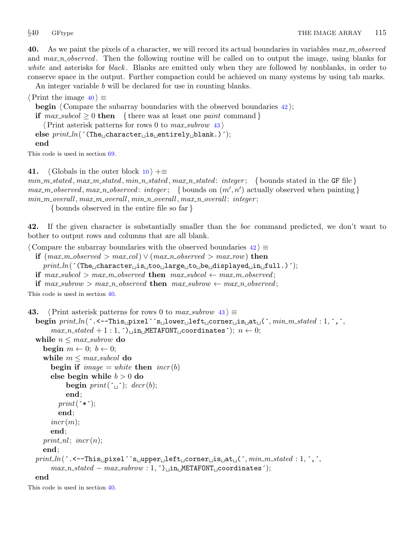<span id="page-14-0"></span>**40.** As we paint the pixels of a character, we will record its actual boundaries in variables  $max_m\_observed$ and max n observed. Then the following routine will be called on to output the image, using blanks for white and asterisks for black. Blanks are emitted only when they are followed by nonblanks, in order to conserve space in the output. Further compaction could be achieved on many systems by using tab marks.

An integer variable b will be declared for use in counting blanks.

 $\langle$  Print the image 40  $\rangle \equiv$ 

**begin**  $\langle$  Compare the subarray boundaries with the observed boundaries  $42$ ;

if  $max\_subcol \geq 0$  then { there was at least one paint command}

 $\langle$  Print asterisk patterns for rows 0 to *max\_subrow* 43  $\rangle$ 

else  $print\_ln($  (The<sub> $\cup$ </sub>character $\cup$ is $\cup$ entirely $\cup$ blank.)  $^{\prime}$ );

end

This code is used in section [69](#page-22-0).

41.  $\langle$  Globals in the outer block [10](#page-3-0)  $\rangle$  +=

 $min_m. stated, max_m. stated, min_n. stated, max_n. stated: integer; \{bounds, stated in the GF file\}$  $max_m\_observed, max_n\_observed: integer;$  {bounds on  $(m', n')$  actually observed when painting}  $min_m_overall, max_m_overall, min_n_overall, max_n_overall;$ 

{ bounds observed in the entire file so far }

42. If the given character is substantially smaller than the boc command predicted, we don't want to bother to output rows and columns that are all blank.

 $\langle$  Compare the subarray boundaries with the observed boundaries  $42 \rangle \equiv$ 

- if  $(max_m\_observed > max_{col}) \vee (max_n\_observed > max_{row})$  then  $print\_ln($  (The<sub>u</sub>character<sub>u</sub>is<sub>u</sub>too<sub>u</sub>large<sub>u</sub>to<sub>u</sub>be<sub>u</sub>displayed<sub>u</sub>in<sub>u</sub>full.)<sup>'</sup>);
- if  $max\_subcol > max\_m\_observed$  then  $max\_subcol \leftarrow max\_m\_observed;$
- if  $max\_subrow > max\_n\_observed$  then  $max\_subrow \leftarrow max\_n\_observed;$

This code is used in section 40.

```
43. \langle Print asterisk patterns for rows 0 to max subrow 43 \rangle \equivbegin print\_ln(\cdot.\cdot-This
pixel\cdot's
plower
left
corner
signat
(\cdot, min\_m\_stated : 1, \cdot, \cdot,
        max_n stated + 1:1,') in METAFONT coordinates'); n \leftarrow 0;while n \leq max\_subrow do
     begin m \leftarrow 0; b \leftarrow 0;
     while m \leq max\_subcol do
        begin if image = white then incr(b)
        else begin while b > 0 do
              begin print(\ulcorner \square \urcorner); decr(b);
              end;
           print(\rightarrow\rightarrow\rightarrow);
           end;
        incr(m);end;
     print_nl; \text{incr}(n);end;
  print\_ln(\cdot.<--This pixel\cdot's upper uleft corner us usuat (\cdot, min\_m\_stated : 1, \cdot, \cdot)
        max\_n\_stated - max\_subrow : 1, ^{\frown} \text{un\_METAFONT}\_\text{c} coordinates^{\frown};end
```
This code is used in section 40.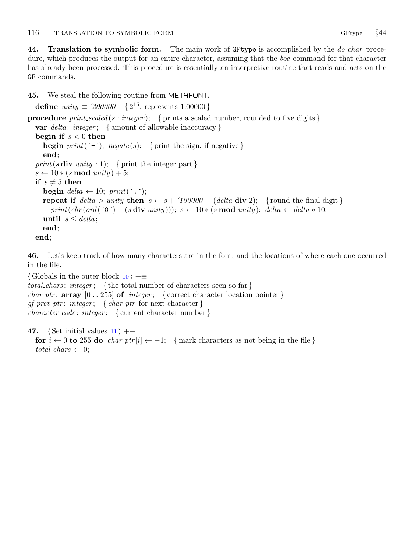<span id="page-15-0"></span>44. Translation to symbolic form. The main work of GF type is accomplished by the  $do_{char}$  procedure, which produces the output for an entire character, assuming that the *boc* command for that character has already been processed. This procedure is essentially an interpretive routine that reads and acts on the GF commands.

45. We steal the following routine from METAFONT.

```
define unity \equiv 200000 \{2^{16}, \text{ represents } 1.00000\}procedure print_scaled (s : integer); { prints a scaled number, rounded to five digits }
  var delta: integer; { amount of allowable inaccuracy}
  begin if s < 0 then
     begin print(\text{`–`}); negate(s); { print the sign, if negative }
     end;
  print(s \textbf{div} unity : 1); { print the integer part }
  s \leftarrow 10 * (s \mod unity) + 5;if s \neq 5 then
     begin delta \leftarrow 10; print(\cdot.);
     repeat if delta > unity then s \leftarrow s + '100000 - (delta \; \text{div} \; 2); {round the final digit}
        print(chr(ord(^{\circ}o^{\bullet}) + (s \textbf{div} \text{ unity}))), s \leftarrow 10 * (s \textbf{ mod } \text{unity}); \textbf{ delta} \leftarrow \textbf{ delta} * 10;until s \leq delta;
     end;
  end;
```
46. Let's keep track of how many characters are in the font, and the locations of where each one occurred in the file.

```
\langle10 \rangle +≡
total chars: integer; {the total number of characters seen so far}
char_ptr: array [0..255] of integer; { correct character location pointer}
gf\_prev\_ptr: \text{ integer}; \{ char\_ptr \text{ for next character }\}character\_code: integer; \{ current character number \}
```

```
47. (Set initial values 11) +≡
  for i \leftarrow 0 to 255 do char_ptr [i] \leftarrow -1; { mark characters as not being in the file }
  total\_chars \leftarrow 0;
```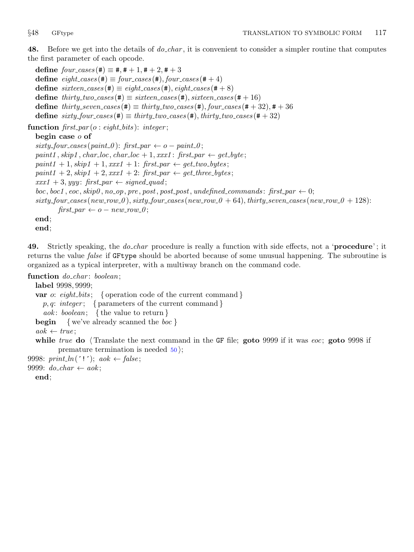<span id="page-16-0"></span>48. Before we get into the details of *do\_char*, it is convenient to consider a simpler routine that computes the first parameter of each opcode.

define  $four\_cases$  (#)  $\equiv$  #, # + 1, # + 2, # + 3 define  $\text{eight}\_\text{cases}(\texttt{\#}) \equiv \text{four}\_\text{cases}(\texttt{\#}), \text{four}\_\text{cases}(\texttt{\#} + 4)$ define  $\textit{site} = \textit{cases}(\texttt{\#}) \equiv \textit{eight} \textit{cases}(\texttt{\#}), \textit{eight} \textit{cases}(\texttt{\#} + 8)$ define  $thirty\_two\_cases$  (#)  $\equiv$  sixteen cases (#), sixteen cases (# + 16) define thirty\_seven\_cases(#)  $\equiv$  thirty\_two\_cases(#), four\_cases(#+32), #+36 define  $sixty_four\_cases (\#) \equiv thirty_two\_cases (\#), thirty_two\_cases (\# + 32)$ 

function  $first\_par(o: eight\_bits): integer;$ 

# begin case o of

```
sixty\_four\_cases (paint 0): first_par \leftarrow o - paint\_0;
paint1, skip1, char\_loc, char\_loc + 1,xxx1: first\_par \leftarrow get\_byte;paint1 + 1, skip1 + 1, xxx1 + 1: first par \leftarrow get\_two\_bytes;paint1 + 2, skip1 + 2, xxx1 + 2: first par \leftarrow get\_three\_bytes;xxx1 + 3, yyy: first_par \leftarrow signed_quad;
boc, boc1, eoc, skip0, no_op, pre, post, post, post, undefined_{commands}: first-par \leftarrow 0;sixty\_four\_cases (new\_row\_0), sixty\_four\_cases (new\_row\_0 + 64), thirty\_seven\_cases (new\_row\_0 + 128)first\_par \leftarrow o - new\_row\_0;
end;
end;
```
49. Strictly speaking, the *do\_char* procedure is really a function with side effects, not a '**procedure**'; it returns the value *false* if GFtype should be aborted because of some unusual happening. The subroutine is organized as a typical interpreter, with a multiway branch on the command code.

# function  $do\_char:boolean;$

```
label 9998, 9999;
  var o: eight_bits; { operation code of the current command }
    p, q: integer; { parameters of the current command }
    aok: boolean; {the value to return }
  begin { we've already scanned the boc }
  a \circ k \leftarrow true:
  while true do \langle Translate the next command in the GF file; goto 9999 if it was eoc; goto 9998 if
         premature termination is needed 50;
9998: print\_ln('!); aok \leftarrow false;
9999: do\_char \leftarrow aok;
```
end;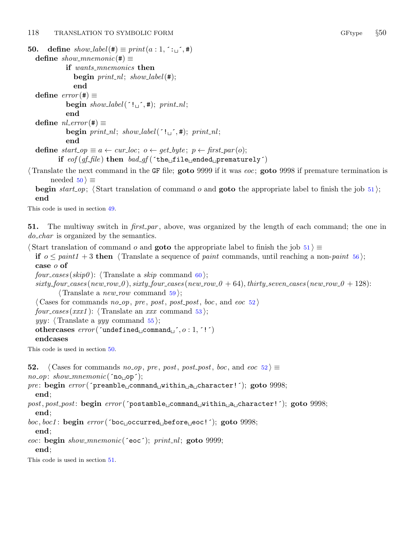```
50. define show\_label(\#) \equiv print(a:1,^; \cdot,^*)define show_mnemonic(#) \equivif wants_mnemonics then
                begin print\_nl; show_label(#);
                end
  define error(\#) \equivbegin show\_label( ': \_\'_, #); print\_nl;
             end
  define nl\_error(#) \equivbegin print_nl; show_label(^{\prime}!\sqcup^{\prime},#); print_nl;
             end
  define start\_op \equiv a \leftarrow cur\_loc; o \leftarrow get\_byte; p \leftarrow first\_par(o);if eof (gf_{\text{}}file) then bad_{\text{}}gf ('the file ended prematurely')
```
Translate the next command in the GF file; goto 9999 if it was eoc; goto 9998 if premature termination is needed  $50 \geq$ 

begin start op;  $\langle$  Start translation of command o and goto the appropriate label to finish the job 51  $\rangle$ ; end

This code is used in section [49](#page-16-0).

51. The multiway switch in  $first-par$ , above, was organized by the length of each command; the one in do char is organized by the semantics.

 $\text{Start translation of command } o \text{ and **goto** the appropriate label to finish the job 51 } ≡$ 

if  $o \leq$  paint  $1 + 3$  then  $\langle$  Translate a sequence of paint commands, until reaching a non-paint [56](#page-18-0) : case o of

four cases (skip $\theta$ ): (Translate a skip command [60](#page-19-0));

 $sixty-four-cases(new-row 0), sixty-four-cases(new-row 0 + 64), thirty-seven-cases(new-row 0 + 128)$ :  $\langle$  Translate a *new\_row* command [59](#page-19-0) $\rangle$ ;

 $\langle$  Cases for commands no\_op, pre, post, post\_post, boc, and eoc 52)

 $four\_cases(xxx1):$  (Translate an xxx command [53](#page-18-0));

yyy:  $\langle$  Translate a yyy command [55](#page-18-0) $\rangle$ ;

othercases  $error('undefined_1; on, '0:1,'')$ 

### endcases

This code is used in section 50.

```
52. \langle Cases for commands no op, pre, post, post<sub>-</sub>post, boc, and eoc 52\rangle \equiv
```
 $no\_op: show\_mmemonic('no<sub>u</sub>op');$ 

```
pre: begin error( preamble command within a character! ^{\circ}; goto 9998;
  end;
```

```
post, post_post: begin error('postamble_{\text{u}}command_{\text{u}}within_{\text{u}}a_{\text{u}}character!<sup>'</sup>); goto 9998;
  end;
```
 $boc, boc1$ : begin  $error('boc \text{\texttt{loc}} \text{unc} \texttt{def} \texttt{ore} \texttt{c} \texttt{le} \texttt{oc}$ '); goto 9998;

end;

eoc: begin show\_mnemonic( $\text{`eoc'}$ ); print\_nl; goto 9999; end;

This code is used in section 51.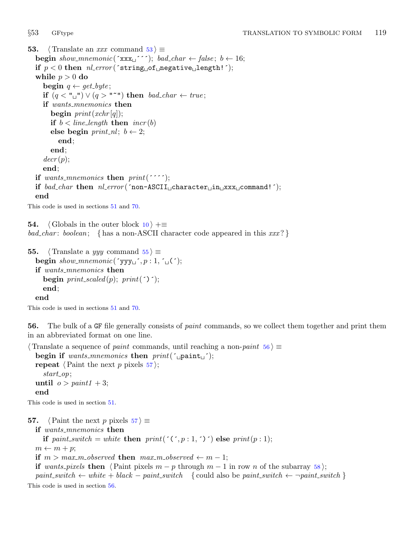```
53. \langle Translate an xxx command 53 \rangle \equivbegin show_mnemonic('xxx \rightarrow'); bad_char \leftarrow false; b \leftarrow 16;
  if p < 0 then nl_error (string of negative length! );
  while p > 0 do
     begin q \leftarrow get\_byte;if (q < "u"') \lor (q > "u") then bad_char \leftarrow true;
     if wants_mnemonics then
       begin print(xchr[q]);if b < line\_length then incr(b)else begin print nl; b \leftarrow 2;
          end;
       end;
     decr(p);end;
  if wants_mnemonics then print('if bad_char then nl_error (^non-ASCII<sub>⊔</sub>character<sub>⊔</sub>in<sub>⊔</sub>xxx<sub>⊔</sub>command!^);
  end
```
This code is used in sections [51](#page-17-0) and [70](#page-23-0).

**54.**  $\langle$  Globals in the outer block  $10 \rangle + \equiv$  $10 \rangle + \equiv$  $bad\_char: boolean; \{ has a non-ASCII character code appeared in this xxx? \}$ 

```
55. \langle Translate a yyy command 55 \rangle \equivbegin show_mnemonic(\gammayyy\Box, p:1, \Box(\Box);
  if wants_mnemonics then
     begin print_scaled(p); print(\hat{\cdot});
     end;
  end
```

```
This code is used in sections 51 and 70.
```
56. The bulk of a GF file generally consists of paint commands, so we collect them together and print them in an abbreviated format on one line.

```
\langle Translate a sequence of paint commands, until reaching a non-paint 56\rangle \equivbegin if wants mnemonics then print('repeat \langle Paint the next p pixels 57\rangle;
    start_op;
  until o > paint1 + 3;end
This code is used in section 51.
57. \langle Paint the next p pixels 57 \rangle \equivif wants_mnemonics then
    if paint switch = white then print(\zeta; n:1, \zeta) else print(p:1);
```

```
m \leftarrow m + p;
```

```
if m > max m-observed then max m-observed \leftarrow m - 1;
```
if wants pixels then  $\langle$  Paint pixels  $m - p$  through  $m - 1$  in row n of the subarray [58](#page-19-0) $\rangle$ ;

paint\_switch  $\leftarrow$  white + black – paint\_switch { could also be paint\_switch  $\leftarrow$  ¬paint\_switch } This code is used in section 56.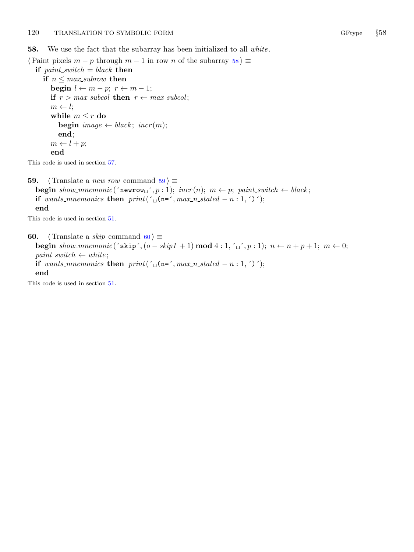<span id="page-19-0"></span>**58.** We use the fact that the subarray has been initialized to all white.

```
\langle Paint pixels m - p through m - 1 in row n of the subarray 58 \equivif paint\_switch = black then
     if n \leq max\_subrow then
        begin l \leftarrow m - p; r \leftarrow m - 1;
        if r > max\_subcol then r \leftarrow max\_subcol;
        m \leftarrow l;
        while m \leq r do
           begin image \leftarrow</math> black; <math>incr(m);</math>end;
        m \leftarrow l + p;
        end
```
This code is used in section [57](#page-18-0).

```
59. \langle Translate a new_row command 59\rangle \equivbegined{minipage}{0.9\linewidth} begin show\_mnemonic('newrow_-, p : 1); incr(n); m \leftarrow p; paint-switch \leftarrow black; \end{minipage}if wants_mnemonics then print(\mu(n=\mu, max_n_stated – n : 1, \mu);
   end
```
This code is used in section [51](#page-17-0).

60.  $\langle$  Translate a *skip* command 60  $\rangle \equiv$ begin show\_mnemonic(´skip´,(o – skip1 + 1) mod  $4:1, ' \cup ', p: 1$ );  $n \leftarrow n + p + 1; m \leftarrow 0;$  $paint\_switch \leftarrow white;$ if wants mnemonics then print( $\mu$ (n=´, max n stated − n : 1, ´)´); end

This code is used in section [51](#page-17-0).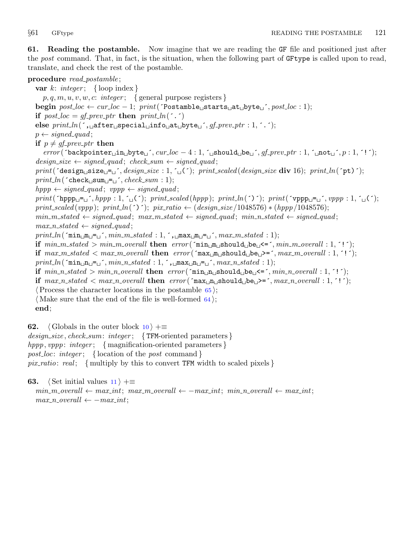<span id="page-20-0"></span>61. Reading the postamble. Now imagine that we are reading the GF file and positioned just after the post command. That, in fact, is the situation, when the following part of GFtype is called upon to read, translate, and check the rest of the postamble.

# procedure read\_postamble;

var  $k: integer; \{loop index\}$  $p, q, m, u, v, w, c: integer; \{ general purpose registers \}$ begin  $post\_loc \leftarrow cur\_loc - 1$ ;  $print('Postamble\_starts\_at\_byte\_', post\_loc : 1)$ ; if  $post\_loc = gf\_prev\_ptr$  then  $print\_ln($ ...) else  $print\_ln($ , after special info at byte  $, gf\_prev\_ptr : 1,$ ...  $p \leftarrow signed\_quad;$ if  $p \neq qf$ -prev-ptr then  $error('backpointer_{\sqcup}in_{\sqcup}byte_{\sqcup'}, cur\_loc-4:1, \ulcorner_{\sqcup}about_{\sqcup}be_{\sqcup'}, qf_{\neg}prev_{\neg}ptr:1, \ulcorner_{\sqcup}not_{\sqcup'}, p:1, '!\dot{'})$ ;  $design\_size \leftarrow signed\_quad; check\_sum \leftarrow signed\_quad;$ print ( $\text{design}_{\sqcup} \text{size}_{\sqcup} = \text{``}, \text{design\_size} : 1, \text{``} \sqcup \text{``})$ ; print\_scaled (design\_size div 16); print\_ln( $\text{``pt}$ )');  $print\_ln($   $\lceil \text{check\_sum} \rceil$   $\lceil \text{check\_sum} \rceil$ ;  $\lceil \text{check\_sum} \rceil$ ;  $\lceil \text{check\_sum} \rceil$ ;  $hppp \leftarrow signed\_quad; vppp \leftarrow signed\_quad;$  $print(\texttt{'hppp\_} \texttt{=} \texttt{``}, \textit{hppp : 1}, \texttt{'}\texttt{'} \texttt{``})$ ; print\_scaled(hppp); print\_ln(´)´); print(´vppp $\texttt{p\_} \texttt{=} \texttt{'}, \textit{vppp : 1}, \texttt{'}\texttt{'} \texttt{'}$ ); print\_scaled (vppp); print\_ln(´)´); pix\_ratio ← (design\_size /1048576) \* (hppp/1048576);  $min\_m\_stated \leftarrow signed\_quad; max\_m\_stated \leftarrow signed\_quad; min\_n\_stated \leftarrow signed\_quad;$  $max\_n\_stated \leftarrow signed\_quad;$  $print\_ln(\text{min\_m\_=\_}^{\frown}, min\_m\_stated: 1, \text{min\_m\_=\_}^{\frown}, max\_m\_stated: 1);$ if  $min\_m\_state$  >  $min\_m\_overall$  then  $error(\text{min}_{\sqcup}m_{\sqcup}should_{\sqcup}be_{\sqcup} <= \text{'}, min\_m\_overall : 1, '!\text{'})$ ; if  $max_m\_ stated < max_m\_overall$  then  $error(\text{max}_m\_should\_be\_>=', max_m\_overall : 1, '!');$  $print\_ln(\text{min\_n\_} = \text{min\_n\_stated}: 1, \text{max\_n\_n\_r}, max\_n\_stated: 1);$ if  $min\_n\_stated > min\_n\_overall$  then  $error(\text{min\_n\_should\_be\_}'=', min\_n\_overall : 1, '!');$ if  $max_{n\_stacked} < max_{n\_overall}$  then  $error(\text{max}_{n\_max}$ should  $_{\text{in}} \geq \text{max}_{n\_overall}: 1, \text{'}$ ;  $\langle$  Process the character locations in the postamble [65](#page-21-0) $\rangle$ ;  $\langle$  Make sure that the end of the file is well-formed [64](#page-21-0) $\rangle$ ; end;

**62.**  $\langle$  Globals in the outer block  $10 \rangle + \equiv$  $10 \rangle + \equiv$  $design\_size, check\_sum: integer; \{TFM-oriented parameters\}$  $hppp, vppp: integer; \{ magnification-oriented parameters\}$ post\_loc: integer; { location of the post command } pix ratio: real; { multiply by this to convert TFM width to scaled pixels }

**63.**  $\langle$  Set initial values [11](#page-4-0)  $\rangle$  +≡  $min\_m\_overall \leftarrow max\_int; max\_m\_overall \leftarrow -max\_int; min\_n\_overall \leftarrow max\_int;$  $max\_n\_overall \leftarrow -max\_int;$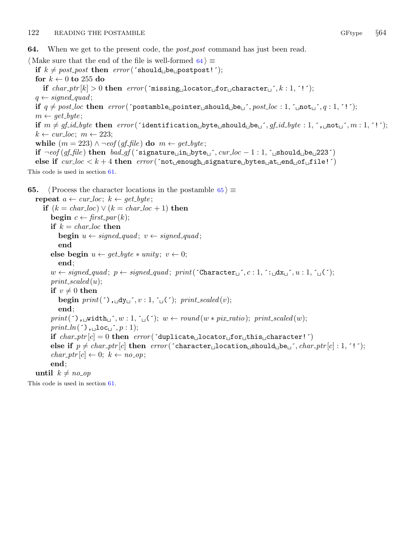<span id="page-21-0"></span>64. When we get to the present code, the *post\_post* command has just been read.

 $\langle$  Make sure that the end of the file is well-formed 64 $\rangle \equiv$ if  $k \neq post\_post$  then  $error('should \text{ob} \in \text{postpost}!$ ; for  $k \leftarrow 0$  to 255 do if  $char\_ptr[k] > 0$  then  $error('missing \cup location \cup for \cup character \cup', k : 1, '!)$ ;  $q \leftarrow signed\_\mathit{quad};$ if  $q \neq post\_loc$  then  $error(\text{postamble\_pointer\_should\_be\_}, post\_loc : 1, \text{ 'mod\_}, q : 1, '!');$  $m \leftarrow get\_byte;$ if  $m \neq gf_id\_byte$  then  $error('identification\_byte\_should\_be\_', gf_id\_byte : 1, ',mod\_', m : 1, '!');$  $k \leftarrow cur\_loc; m \leftarrow 223;$ while  $(m = 223) \wedge \neg \text{eof}(\text{gf}\text{-}\text{file})$  do  $m \leftarrow \text{get}\text{-}\text{byte};$ if  $\neg\text{cof}(gf_{\neg}file)$  then  $bad_{\neg}gf$  (´signature $\Box$ in $\Box$ byte $\Box$ ´, cur $\Box$  $loc -1 : 1$ , ´ $\Box$ should $\Box$ be $\Box$ 223´) else if  $cur\_loc < k + 4$  then  $error('not \text{__enough\_signature} \text{__bytes\_at \text{__end\_of \text{__file}}'})$ This code is used in section [61](#page-20-0). **65.**  $\langle$  Process the character locations in the postamble 65  $\rangle \equiv$ repeat  $a \leftarrow cur\_loc; k \leftarrow get\_byte;$ if  $(k = char\_loc) \vee (k = char\_loc + 1)$  then begin  $c \leftarrow \text{first\_par}(k);$ if  $k = char\_loc$  then **begin**  $u \leftarrow signed\_quad; v \leftarrow signed\_quad;$ end else begin  $u \leftarrow qet_byte \ast unity; v \leftarrow 0;$ end;  $w \leftarrow signed\_quad; p \leftarrow signed\_quad; print('Character\_', c : 1, \div_d x \cup \div_i, u : 1, \div_u \cup \div_i)$  $print\_scaled(u);$ if  $v \neq 0$  then begin  $print($ ,  $\lrcorner dy \lrcorner$ ,  $v : 1, \lrcorner \lrcorner$  ( $\lrcorner$ ); print\_scaled(v); end;  $print($ , width  $, w : 1, ' \cup (')$ ;  $w \leftarrow round(w * pix\_ratio)$ ; print\_scaled (w);  $print\_ln($ ;  $)$ ,  $\lnot$ loc $\lnot$ ;  $p : 1$ ); if  $char\_ptr[c] = 0$  then  $error(' duplicate\_location\_for\_this\_character!')$ else if  $p \neq char\_ptr[c]$  then  $error('character_{\text{u}}location_{\text{u}}should_{\text{u}}be_{\text{u}'}, char\_ptr[c] : 1, '!');$  $char\_ptr[c] \leftarrow 0; k \leftarrow no\_op;$ end;

until  $k \neq no\_op$ 

This code is used in section [61](#page-20-0).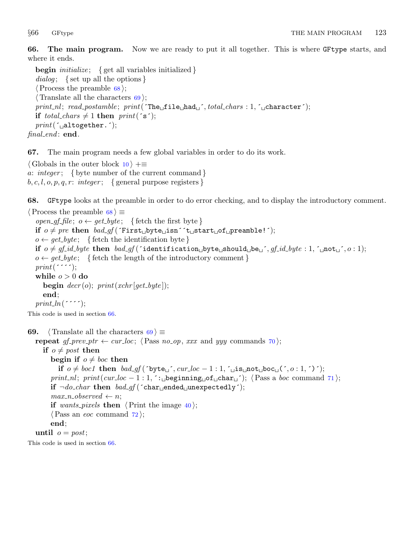<span id="page-22-0"></span>66. The main program. Now we are ready to put it all together. This is where GFtype starts, and where it ends.

**begin** *initialize*; { get all variables initialized } dialog; { set up all the options }  $\langle$  Process the preamble 68 $\rangle$ ;  $\langle$  Translate all the characters 69 $\rangle$ ;  $print\_nl$ ;  $read\_postample$ ;  $print('The\_file\_had\_', total\_chars : 1, '\_character');$ if total\_chars  $\neq 1$  then print( $\check{\mathsf{s}}$ );  $print(\texttt{`\_altogether}.');$  $final$ end: end.

67. The main program needs a few global variables in order to do its work.

 $\langle$  Globals in the outer block [10](#page-3-0)  $\rangle$  +≡ a: integer; { byte number of the current command }  $b, c, l, o, p, q, r: integer; \{ general purpose registers \}$ 

68. GFtype looks at the preamble in order to do error checking, and to display the introductory comment.

```
\langle Process the preamble 68 \rangle \equivopen gf file; o \leftarrow get\_byte; { fetch the first byte }
  if o \neq pre then bad\_gf (First byte isn^{\prime} t start of preamble!^{\prime});
  o \leftarrow get\_byte; \{ \text{ fetch the identification byte} \}if o \neq gf\_id\_byte then bad\_gf (identification byte should be j, gf\_id\_byte : 1, j not j, o : 1);
  o \leftarrow get\_byte; \{ \text{ fetch the length of the introductory comment} \}print(\cdot \cdot \cdot \cdot);
  while o > 0 do
     begin decr(o); print(xchr[get\_byte]);
     end;
  print\_ln(\cdots;
This code is used in section 66.
69. \langle Translate all the characters 69 \rangle \equivrepeat qf_{\perp} prev _{\perp} ptr \leftarrow cur loc; \langle70\rangle;
```

```
if o \neq post then
     begin if o \neq boc then
       if o \neq boc1 then bad\_gf('byte\_', cur\_loc-1:1, ' _{~} is _{~}not _{~}boc_((', o:1, ')');print_nl; print(cur_loc - 1 : 1, \therefore beginning of char \therefore71);
     if \neg do_{char} then bad_{g}f (char_{u}ended unexpectedly\dot{\ });
     max_n\_o</math> <i>observed</i> <math>\leftarrow</math> <i>n</i>;if wants pixels then \langle40\rangle;
     \langle Pass an eoc command \langle72\rangle;
     end;
until o = post;
```
This code is used in section 66.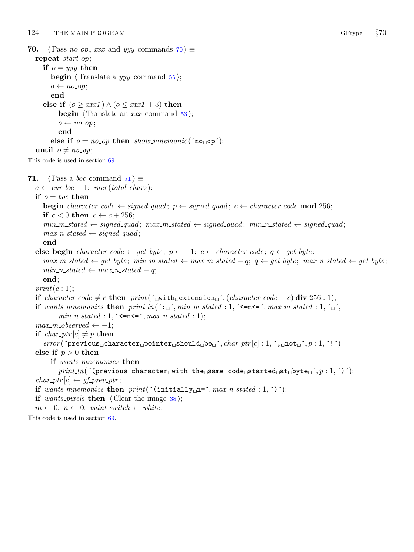```
70. \langle \text{Pass } no\_op, xxx \text{ and } yyy \text{ commands } 70 \rangle \equivrepeat start_op;
     if o = yyy then
        begin \langle Translate a yyy55\rangle;
        o \leftarrow no\_op;end
     else if (o \geq x \mathit{xx1}) \land (o \leq x \mathit{xx1} + 3) then
           begin \langle Translate an xxx53\rangle;
           o \leftarrow no\_op;end
        else if o = no\_op then show mnemonic('no op');
  until o \neq no \text{.} op;
This code is used in section 69.
71. \langle \text{Pass a } boc \text{ command } 71 \rangle \equiva \leftarrow cur\_loc - 1; incr(total\_chars);if o = boc then
     begin character_code \leftarrow signed_quad; p \leftarrow signed_quad; c \leftarrow character_code mod 256;
     if c < 0 then c \leftarrow c + 256;
     min_m\_stated \leftarrow signed\_quad; max_m\_stated \leftarrow signed\_quad; min_n\_stated \leftarrow signed\_quad;max\_n\_stated \leftarrow signed\_quad;end
  else begin character_code ← get_byte; p \leftarrow -1; c \leftarrow character_code; q \leftarrow get_byte;
     max_m\_stated \leftarrow get\_byte; min_m\_stated \leftarrow max_m\_stated - q; q \leftarrow get\_byte; max_n\_stated \leftarrow get\_byte;min\_n\_stated \leftarrow max\_n\_stated - q;end;
  print(c:1);if character_code \neq c then print(´<sub>u</sub>with extension ´,(character_code − c) div 256 : 1);
  if wants mnemonics then print\_ln(: \cdot \cdot \cdot ), min\_m\_stated : 1, \cdot \cdot = m \cdot \cdot \cdot, max\_m\_stated : 1, \cdot \cdot \cdot,
           min\_n\_stated : 1, \in \mathbb{R} /s = \cap, max\_n\_stated : 1);max_m\_observed \leftarrow -1;if char\_ptr[c] \neq p then
      error('previous_{\text{u}}\text{character}_{\text{u}}\text{pointer}_{\text{u}}\text{should}_{\text{u}}\text{be}_{\text{u}'}, char\_ptr[c]: 1, ',\text{under}_{\text{u}'}, p : 1, '!\,)else if p > 0 then
        if wants_mnemonics then
           print\_ln( (previous character with the same code started at byte _i, p: 1, ´)´);
   char\_ptr[c] \leftarrow gf\_prev\_ptr;if wants_mnemonics then print('(\text{initially\_{}n=^}, max_n. stated : 1, ')^;
  if wants pixels then \langle38\rangle;
  m \leftarrow 0; \; n \leftarrow 0; \; paint\_switch \leftarrow white;
```
This code is used in section [69](#page-22-0).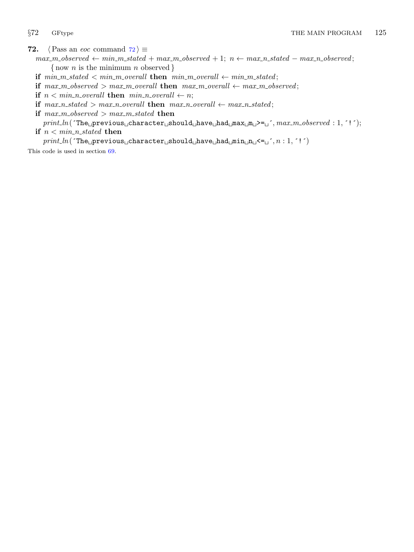<span id="page-24-0"></span>72.  $\langle$  Pass an *eoc* command 72  $\rangle \equiv$ 

- $\textit{max\_m\_observed} \gets \textit{min\_m\_stated} + \textit{max\_m\_observed} + 1; \textit{ n} \gets \textit{max\_n\_stated} \textit{max\_n\_observed};$ {now *n* is the minimum *n* observed }
- if  $min\_m\_stated < min\_m\_overall$  then  $min\_m\_overall \leftarrow min\_m\_stated;$
- if  $max_m\_observed > max_m\_overall$  then  $max_m\_overall \leftarrow max_m\_observed;$
- if  $n < min\_n$  overall then  $min\_n$  overall  $\leftarrow n$ ;
- if  $max_n\_stated > max_n\_overall$  then  $max_n\_overall \leftarrow max_n\_stated;$
- if  $max_m\_observed > max_m\_stated$  then

 $\mathit{print\_ln}(\textrm{`The\_previous\_character\_should\_have\_had\_max\_m\_>=\_', \mathit{max\_m\_observed}: 1, \verb;`!`);$ if  $n < min\_n\_stated$  then

 $print\_ln($  The previous character should have had  $min\_n_i$  <=  $_i$ ,  $n : 1, '1'$ )

This code is used in section [69](#page-22-0).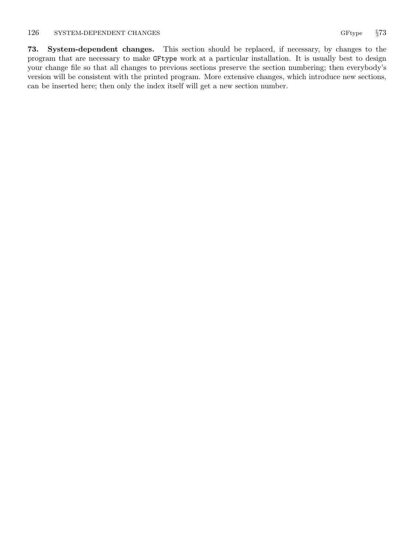<span id="page-25-0"></span>73. System-dependent changes. This section should be replaced, if necessary, by changes to the program that are necessary to make GFtype work at a particular installation. It is usually best to design your change file so that all changes to previous sections preserve the section numbering; then everybody's version will be consistent with the printed program. More extensive changes, which introduce new sections, can be inserted here; then only the index itself will get a new section number.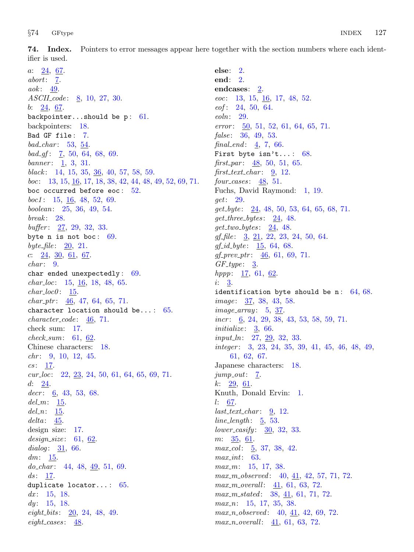<span id="page-26-0"></span>74. Index. Pointers to error messages appear here together with the section numbers where each identifier is used.

a: [24,](#page-10-0) [67](#page-22-0).  $abort: 7.$  $abort: 7.$  $aok$ : [49](#page-16-0). ASCII<sub>-code</sub>: [8,](#page-3-0) [10](#page-3-0), [27,](#page-11-0) [30.](#page-11-0) b: [24,](#page-10-0) [67](#page-22-0). backpointer...should be  $p: 61$ . backpointers: [18.](#page-8-0) Bad GF file : [7](#page-2-0).  $bad\_char: 53, 54.$  $bad\_char: 53, 54.$  $bad\_char: 53, 54.$  $bad\_char: 53, 54.$  $bad\_char: 53, 54.$  $bad\_gf: 7, 50, 64, 68, 69.$  $bad\_gf: 7, 50, 64, 68, 69.$  $bad\_gf: 7, 50, 64, 68, 69.$  $bad\_gf: 7, 50, 64, 68, 69.$  $bad\_gf: 7, 50, 64, 68, 69.$  $bad\_gf: 7, 50, 64, 68, 69.$  $bad\_gf: 7, 50, 64, 68, 69.$  $bad\_gf: 7, 50, 64, 68, 69.$  $bad\_gf: 7, 50, 64, 68, 69.$  $bad\_gf: 7, 50, 64, 68, 69.$ banner: [1](#page-1-0), [3](#page-1-0), [31](#page-12-0). black: [14,](#page-5-0) [15](#page-6-0), [35](#page-13-0), [36](#page-13-0), [40,](#page-14-0) [57,](#page-18-0) [58](#page-19-0), [59](#page-19-0). boc: [13](#page-5-0), [15](#page-6-0), [16,](#page-7-0) [17](#page-8-0), [18](#page-8-0), [38,](#page-13-0) [42](#page-14-0), [44](#page-15-0), [48,](#page-16-0) [49](#page-16-0), [52,](#page-17-0) [69,](#page-22-0) [71](#page-23-0). boc occurred before eoc:  $52$ .  $boc1: 15, 16, 48, 52, 69.$  $boc1: 15, 16, 48, 52, 69.$  $boc1: 15, 16, 48, 52, 69.$  $boc1: 15, 16, 48, 52, 69.$  $boc1: 15, 16, 48, 52, 69.$  $boc1: 15, 16, 48, 52, 69.$  $boc1: 15, 16, 48, 52, 69.$  $boc1: 15, 16, 48, 52, 69.$  $boc1: 15, 16, 48, 52, 69.$  $boc1: 15, 16, 48, 52, 69.$ boolean: [25](#page-11-0), [36,](#page-13-0) [49](#page-16-0), [54.](#page-18-0)  $break: 28.$  $break: 28.$  $break: 28.$  $buffer: \underline{27}, 29, 32, 33.$  $buffer: \underline{27}, 29, 32, 33.$  $buffer: \underline{27}, 29, 32, 33.$  $buffer: \underline{27}, 29, 32, 33.$  $buffer: \underline{27}, 29, 32, 33.$  $buffer: \underline{27}, 29, 32, 33.$  $buffer: \underline{27}, 29, 32, 33.$  $buffer: \underline{27}, 29, 32, 33.$ byte n is not boc:  $69$ . byte\_file:  $20, 21$  $20, 21$ . c:  $24, 30, 61, 67$  $24, 30, 61, 67$  $24, 30, 61, 67$  $24, 30, 61, 67$  $24, 30, 61, 67$  $24, 30, 61, 67$ .  $char: 9.$  $char: 9.$  $char: 9.$ char ended unexpectedly : [69](#page-22-0).  $char\_loc:$  [15](#page-6-0), <u>[16](#page-7-0)</u>, [18,](#page-8-0) [48,](#page-16-0) [65](#page-21-0).  $char\_loc0$ : [15.](#page-6-0)  $char\_ptr$ :  $46, 47, 64, 65, 71.$  $46, 47, 64, 65, 71.$  $46, 47, 64, 65, 71.$  $46, 47, 64, 65, 71.$  $46, 47, 64, 65, 71.$  $46, 47, 64, 65, 71.$  $46, 47, 64, 65, 71.$  $46, 47, 64, 65, 71.$  $46, 47, 64, 65, 71.$ character location should be...:  $65$ .  $character\_code: 46, 71.$  $character\_code: 46, 71.$  $character\_code: 46, 71.$  $character\_code: 46, 71.$ check sum: [17.](#page-8-0)  $check\_sum: 61, 62.$  $check\_sum: 61, 62.$  $check\_sum: 61, 62.$  $check\_sum: 61, 62.$ Chinese characters: [18](#page-8-0).  $chr: 9, 10, 12, 45.$  $chr: 9, 10, 12, 45.$  $chr: 9, 10, 12, 45.$  $chr: 9, 10, 12, 45.$  $chr: 9, 10, 12, 45.$  $chr: 9, 10, 12, 45.$  $chr: 9, 10, 12, 45.$  $chr: 9, 10, 12, 45.$  $cs: 17.$  $cs: 17.$  $cur\_loc:$  [22](#page-10-0), [23,](#page-10-0) [24](#page-10-0), [50,](#page-17-0) [61](#page-20-0), [64,](#page-21-0) [65](#page-21-0), [69,](#page-22-0) [71](#page-23-0).  $d: 24.$  $d: 24.$  $decr$  : [6](#page-2-0), [43,](#page-14-0) [53,](#page-18-0) [68.](#page-22-0)  $del_m: 15.$  $del_m: 15.$  $del_m: 15.$  $del_n$ : [15](#page-6-0).  $delta: 45.$  $delta: 45.$ design size: [17](#page-8-0).  $design\_size: 61, 62.$  $design\_size: 61, 62.$  $design\_size: 61, 62.$  $design\_size: 61, 62.$  $design\_size: 61, 62.$ dialog:  $31, 66$  $31, 66$  $31, 66$ .  $dm: 15.$  $dm: 15.$  $dm: 15.$  $do_{\text{c}}char: 44, 48, 49, 51, 69.$  $do_{\text{c}}char: 44, 48, 49, 51, 69.$  $do_{\text{c}}char: 44, 48, 49, 51, 69.$  $do_{\text{c}}char: 44, 48, 49, 51, 69.$  $do_{\text{c}}char: 44, 48, 49, 51, 69.$  $do_{\text{c}}char: 44, 48, 49, 51, 69.$  $do_{\text{c}}char: 44, 48, 49, 51, 69.$  $do_{\text{c}}char: 44, 48, 49, 51, 69.$  $do_{\text{c}}char: 44, 48, 49, 51, 69.$  $do_{\text{c}}char: 44, 48, 49, 51, 69.$  $do_{\text{c}}char: 44, 48, 49, 51, 69.$  $ds: 17.$  $ds: 17.$  $ds: 17.$ duplicate locator...: [65](#page-21-0). dx:  $15, 18.$  $15, 18.$  $15, 18.$  $15, 18.$  $dy: 15, 18.$  $dy: 15, 18.$  $dy: 15, 18.$  $dy: 15, 18.$  $dy: 15, 18.$ eight bits:  $20, 24, 48, 49$  $20, 24, 48, 49$  $20, 24, 48, 49$  $20, 24, 48, 49$  $20, 24, 48, 49$  $20, 24, 48, 49$ . eight cases:  $\frac{48}{5}$  $\frac{48}{5}$  $\frac{48}{5}$ .

else: [2](#page-1-0). end: [2](#page-1-0). endcases: [2](#page-1-0). eoc: [13,](#page-5-0) [15](#page-6-0), [16,](#page-7-0) [17,](#page-8-0) [48](#page-16-0), [52.](#page-17-0)  $e$ *of* : [24](#page-10-0), [50](#page-17-0), [64](#page-21-0). eoln: [29](#page-11-0). error: [50](#page-17-0), [51](#page-17-0), [52](#page-17-0), [61](#page-20-0), [64](#page-21-0), [65](#page-21-0), [71](#page-23-0). false: [36](#page-13-0), [49](#page-16-0), [53](#page-18-0). final end:  $4, 7, 66$  $4, 7, 66$  $4, 7, 66$  $4, 7, 66$ . First byte isn't...:  $68$ . first par:  $48, 50, 51, 65$  $48, 50, 51, 65$  $48, 50, 51, 65$  $48, 50, 51, 65$  $48, 50, 51, 65$  $48, 50, 51, 65$  $48, 50, 51, 65$ . first text char:  $9, 12$  $9, 12$  $9, 12$ .  $four\; cases: 48, 51.$  $four\; cases: 48, 51.$  $four\; cases: 48, 51.$  $four\; cases: 48, 51.$  $four\; cases: 48, 51.$ Fuchs, David Raymond: [1](#page-1-0), [19](#page-9-0). get: [29.](#page-11-0)  $get\_byte: \quad 24, 48, 50, 53, 64, 65, 68, 71.$  $get\_byte: \quad 24, 48, 50, 53, 64, 65, 68, 71.$  $get\_byte: \quad 24, 48, 50, 53, 64, 65, 68, 71.$  $get\_byte: \quad 24, 48, 50, 53, 64, 65, 68, 71.$  $get\_byte: \quad 24, 48, 50, 53, 64, 65, 68, 71.$  $get\_byte: \quad 24, 48, 50, 53, 64, 65, 68, 71.$  $get\_byte: \quad 24, 48, 50, 53, 64, 65, 68, 71.$  $get\_byte: \quad 24, 48, 50, 53, 64, 65, 68, 71.$  $get\_byte: \quad 24, 48, 50, 53, 64, 65, 68, 71.$  $get\_byte: \quad 24, 48, 50, 53, 64, 65, 68, 71.$  $get\_byte: \quad 24, 48, 50, 53, 64, 65, 68, 71.$  $get\_byte: \quad 24, 48, 50, 53, 64, 65, 68, 71.$  $get\_byte: \quad 24, 48, 50, 53, 64, 65, 68, 71.$  $get\_byte: \quad 24, 48, 50, 53, 64, 65, 68, 71.$  $get\_byte: \quad 24, 48, 50, 53, 64, 65, 68, 71.$  $get\_byte: \quad 24, 48, 50, 53, 64, 65, 68, 71.$  $get\_byte: \quad 24, 48, 50, 53, 64, 65, 68, 71.$ get\_three\_bytes:  $24, 48$  $24, 48$ .  $get\_two\_bytes: \quad 24, \quad 48.$  $get\_two\_bytes: \quad 24, \quad 48.$  $get\_two\_bytes: \quad 24, \quad 48.$  $get\_two\_bytes: \quad 24, \quad 48.$ gf file:  $\frac{3}{21}$  $\frac{3}{21}$  $\frac{3}{21}$ ,  $\frac{21}{22}$  $\frac{21}{22}$  $\frac{21}{22}$ ,  $\frac{23}{23}$  $\frac{23}{23}$  $\frac{23}{23}$ ,  $\frac{24}{50}$  $\frac{24}{50}$  $\frac{24}{50}$  $\frac{24}{50}$  $\frac{24}{50}$ , [64](#page-21-0).  $gf_id\_byte: 15, 64, 68.$  $gf_id\_byte: 15, 64, 68.$  $gf_id\_byte: 15, 64, 68.$  $gf_id\_byte: 15, 64, 68.$  $gf_id\_byte: 15, 64, 68.$  $gf_id\_byte: 15, 64, 68.$  $gf\_prev\_ptr: \underline{46}$ , [61](#page-20-0), [69](#page-22-0), [71.](#page-23-0)  $GF\_type: \underline{3}$  $GF\_type: \underline{3}$  $GF\_type: \underline{3}$ .  $hppp: \underline{17}, 61, \underline{62}.$  $hppp: \underline{17}, 61, \underline{62}.$  $hppp: \underline{17}, 61, \underline{62}.$  $hppp: \underline{17}, 61, \underline{62}.$  $hppp: \underline{17}, 61, \underline{62}.$ i: [3](#page-1-0). identification byte should be n:  $64,68$  $64,68$ . *image*:  $\frac{37}{38}$  $\frac{37}{38}$  $\frac{37}{38}$ ,  $\frac{38}{43}$ ,  $\frac{58}{58}$  $\frac{58}{58}$  $\frac{58}{58}$ .  $image_array: 5, 37.$  $image_array: 5, 37.$  $image_array: 5, 37.$  $image_array: 5, 37.$ *incr*:  $6, 24, 29, 38, 43, 53, 58, 59, 71.$  $6, 24, 29, 38, 43, 53, 58, 59, 71.$  $6, 24, 29, 38, 43, 53, 58, 59, 71.$  $6, 24, 29, 38, 43, 53, 58, 59, 71.$  $6, 24, 29, 38, 43, 53, 58, 59, 71.$  $6, 24, 29, 38, 43, 53, 58, 59, 71.$  $6, 24, 29, 38, 43, 53, 58, 59, 71.$  $6, 24, 29, 38, 43, 53, 58, 59, 71.$  $6, 24, 29, 38, 43, 53, 58, 59, 71.$  $6, 24, 29, 38, 43, 53, 58, 59, 71.$  $6, 24, 29, 38, 43, 53, 58, 59, 71.$  $6, 24, 29, 38, 43, 53, 58, 59, 71.$  $6, 24, 29, 38, 43, 53, 58, 59, 71.$  $6, 24, 29, 38, 43, 53, 58, 59, 71.$  $6, 24, 29, 38, 43, 53, 58, 59, 71.$  $6, 24, 29, 38, 43, 53, 58, 59, 71.$  $6, 24, 29, 38, 43, 53, 58, 59, 71.$  $6, 24, 29, 38, 43, 53, 58, 59, 71.$ initialize: [3](#page-1-0), [66](#page-22-0).  $input\_ln: 27, 29, 32, 33.$  $input\_ln: 27, 29, 32, 33.$  $input\_ln: 27, 29, 32, 33.$  $input\_ln: 27, 29, 32, 33.$  $input\_ln: 27, 29, 32, 33.$  $input\_ln: 27, 29, 32, 33.$  $input\_ln: 27, 29, 32, 33.$  $input\_ln: 27, 29, 32, 33.$ integer : [3,](#page-1-0) [23](#page-10-0), [24](#page-10-0), [35,](#page-13-0) [39](#page-13-0), [41,](#page-14-0) [45,](#page-15-0) [46](#page-15-0), [48,](#page-16-0) [49](#page-16-0), [61,](#page-20-0) [62,](#page-20-0) [67.](#page-22-0) Japanese characters: [18](#page-8-0).  $jump_out: \mathbf{Z}.$ k: [29](#page-11-0), [61](#page-20-0). Knuth, Donald Ervin: [1](#page-1-0). l: [67.](#page-22-0)  $last\_text\_char: 9, 12.$  $last\_text\_char: 9, 12.$  $last\_text\_char: 9, 12.$  $last\_text\_char: 9, 12.$  $last\_text\_char: 9, 12.$  $line_length: 5, 53.$  $line_length: 5, 53.$  $line_length: 5, 53.$  $line_length: 5, 53.$  $lower\_casify: \quad \underline{30}$ , [32](#page-12-0), [33.](#page-12-0)  $m: \frac{35}{61}.$  $m: \frac{35}{61}.$  $m: \frac{35}{61}.$  $max_{c}ol$ :  $\frac{5}{2}$  $\frac{5}{2}$  $\frac{5}{2}$ , [37](#page-13-0), [38,](#page-13-0) [42](#page-14-0).  $max\_int: 63$ .  $max_m: 15, 17, 38.$  $max_m: 15, 17, 38.$  $max_m: 15, 17, 38.$  $max_m: 15, 17, 38.$  $max_m: 15, 17, 38.$  $max_m: 15, 17, 38.$  $max_m: 15, 17, 38.$ max\_m\_observed: [40,](#page-14-0) [41](#page-14-0), [42](#page-14-0), [57,](#page-18-0) [71](#page-23-0), [72.](#page-24-0)  $max_m_{overall}: 41, 61, 63, 72.$  $max_m_{overall}: 41, 61, 63, 72.$  $max_m_{overall}: 41, 61, 63, 72.$  $max_m_{overall}: 41, 61, 63, 72.$  $max_m_{overall}: 41, 61, 63, 72.$  $max_m_{overall}: 41, 61, 63, 72.$  $max_m_{overall}: 41, 61, 63, 72.$  $max_m_{overall}: 41, 61, 63, 72.$  $max_m\_stated: 38, 41, 61, 71, 72.$  $max_m\_stated: 38, 41, 61, 71, 72.$  $max_m\_stated: 38, 41, 61, 71, 72.$  $max_m\_stated: 38, 41, 61, 71, 72.$  $max_m\_stated: 38, 41, 61, 71, 72.$  $max_m\_stated: 38, 41, 61, 71, 72.$  $max_m\_stated: 38, 41, 61, 71, 72.$  $max_m\_stated: 38, 41, 61, 71, 72.$  $max_m\_stated: 38, 41, 61, 71, 72.$  $max_m\_stated: 38, 41, 61, 71, 72.$  $max_m\_stated: 38, 41, 61, 71, 72.$ max n: [15](#page-6-0), [17,](#page-8-0) [35](#page-13-0), [38.](#page-13-0)  $max_n\_observed: 40, 41, 42, 69, 72.$  $max_n\_observed: 40, 41, 42, 69, 72.$  $max_n\_observed: 40, 41, 42, 69, 72.$  $max_n\_observed: 40, 41, 42, 69, 72.$  $max_n\_observed: 40, 41, 42, 69, 72.$  $max_n\_observed: 40, 41, 42, 69, 72.$  $max_n\_observed: 40, 41, 42, 69, 72.$  $max_n\_observed: 40, 41, 42, 69, 72.$  $max_n\_observed: 40, 41, 42, 69, 72.$  $max_n\_observed: 40, 41, 42, 69, 72.$  $max\_n\_overall: 41, 61, 63, 72.$  $max\_n\_overall: 41, 61, 63, 72.$  $max\_n\_overall: 41, 61, 63, 72.$  $max\_n\_overall: 41, 61, 63, 72.$  $max\_n\_overall: 41, 61, 63, 72.$  $max\_n\_overall: 41, 61, 63, 72.$  $max\_n\_overall: 41, 61, 63, 72.$  $max\_n\_overall: 41, 61, 63, 72.$  $max\_n\_overall: 41, 61, 63, 72.$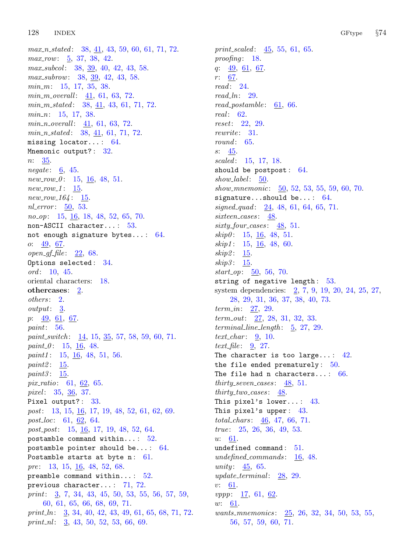$max_n stated: 38, 41, 43, 59, 60, 61, 71, 72.$  $max_n stated: 38, 41, 43, 59, 60, 61, 71, 72.$  $max_n stated: 38, 41, 43, 59, 60, 61, 71, 72.$  $max_n stated: 38, 41, 43, 59, 60, 61, 71, 72.$  $max_n stated: 38, 41, 43, 59, 60, 61, 71, 72.$  $max_n stated: 38, 41, 43, 59, 60, 61, 71, 72.$  $max_n stated: 38, 41, 43, 59, 60, 61, 71, 72.$  $max_n stated: 38, 41, 43, 59, 60, 61, 71, 72.$  $max_n stated: 38, 41, 43, 59, 60, 61, 71, 72.$  $max_n stated: 38, 41, 43, 59, 60, 61, 71, 72.$  $max_n stated: 38, 41, 43, 59, 60, 61, 71, 72.$  $max_n stated: 38, 41, 43, 59, 60, 61, 71, 72.$  $max_n stated: 38, 41, 43, 59, 60, 61, 71, 72.$  $max_n stated: 38, 41, 43, 59, 60, 61, 71, 72.$  $max_n stated: 38, 41, 43, 59, 60, 61, 71, 72.$  $max_n stated: 38, 41, 43, 59, 60, 61, 71, 72.$ max\_row: [5](#page-2-0), [37,](#page-13-0) [38](#page-13-0), [42.](#page-14-0) max\_subcol: [38,](#page-13-0) [39,](#page-13-0) [40,](#page-14-0) [42,](#page-14-0) [43,](#page-14-0) [58.](#page-19-0) max\_subrow: [38](#page-13-0), [39](#page-13-0), [42](#page-14-0), [43](#page-14-0), [58](#page-19-0).  $min_m: 15, 17, 35, 38.$  $min_m: 15, 17, 35, 38.$  $min_m: 15, 17, 35, 38.$  $min_m: 15, 17, 35, 38.$  $min_m: 15, 17, 35, 38.$  $min_m: 15, 17, 35, 38.$  $min_m: 15, 17, 35, 38.$  $min_m: 15, 17, 35, 38.$  $min_m: 15, 17, 35, 38.$  $min_m_{1} = \frac{41}{100}$  $min_m_{1} = \frac{41}{100}$  $min_m_{1} = \frac{41}{100}$ , [61](#page-20-0), [63](#page-20-0), [72.](#page-24-0)  $min_m\_stated: 38, 41, 43, 61, 71, 72.$  $min_m\_stated: 38, 41, 43, 61, 71, 72.$  $min_m\_stated: 38, 41, 43, 61, 71, 72.$  $min_m\_stated: 38, 41, 43, 61, 71, 72.$  $min_m\_stated: 38, 41, 43, 61, 71, 72.$  $min_m\_stated: 38, 41, 43, 61, 71, 72.$  $min_m\_stated: 38, 41, 43, 61, 71, 72.$  $min_m\_stated: 38, 41, 43, 61, 71, 72.$  $min_m\_stated: 38, 41, 43, 61, 71, 72.$  $min_m\_stated: 38, 41, 43, 61, 71, 72.$  $min_m\_stated: 38, 41, 43, 61, 71, 72.$  $min_m\_stated: 38, 41, 43, 61, 71, 72.$  $min_m\_stated: 38, 41, 43, 61, 71, 72.$  $min_n: 15, 17, 38.$  $min_n: 15, 17, 38.$  $min_n: 15, 17, 38.$  $min_n: 15, 17, 38.$  $min_n: 15, 17, 38.$  $min_n: 15, 17, 38.$  $min\_n\_overall: 41, 61, 63, 72.$  $min\_n\_overall: 41, 61, 63, 72.$  $min\_n\_overall: 41, 61, 63, 72.$  $min\_n\_overall: 41, 61, 63, 72.$  $min\_n\_overall: 41, 61, 63, 72.$  $min\_n\_overall: 41, 61, 63, 72.$  $min\_n\_overall: 41, 61, 63, 72.$  $min\_n\_overall: 41, 61, 63, 72.$  $min\_n\_overall: 41, 61, 63, 72.$  $min\_n\_stated: 38, 41, 61, 71, 72.$  $min\_n\_stated: 38, 41, 61, 71, 72.$  $min\_n\_stated: 38, 41, 61, 71, 72.$  $min\_n\_stated: 38, 41, 61, 71, 72.$  $min\_n\_stated: 38, 41, 61, 71, 72.$  $min\_n\_stated: 38, 41, 61, 71, 72.$  $min\_n\_stated: 38, 41, 61, 71, 72.$  $min\_n\_stated: 38, 41, 61, 71, 72.$  $min\_n\_stated: 38, 41, 61, 71, 72.$  $min\_n\_stated: 38, 41, 61, 71, 72.$ missing locator...:  $64$ . Mnemonic output?: [32](#page-12-0).  $n: \frac{35}{2}$ . negate:  $\underline{6}$  $\underline{6}$  $\underline{6}$ , [45](#page-15-0).  $new_{.}row_{.}0: 15, 16, 48, 51.$  $new_{.}row_{.}0: 15, 16, 48, 51.$  $new_{.}row_{.}0: 15, 16, 48, 51.$  $new_{.}row_{.}0: 15, 16, 48, 51.$  $new_{.}row_{.}0: 15, 16, 48, 51.$  $new_{.}row_{.}0: 15, 16, 48, 51.$  $new_{.}row_{.}0: 15, 16, 48, 51.$  $new_{.}row_{.}0: 15, 16, 48, 51.$  $new_{.}row_{.}0: 15, 16, 48, 51.$  $new_{row_1}: 15.$  $new_{row_1}: 15.$  $new_{row_1}: 15.$  $new_{164}: 15.$  $new_{164}: 15.$  $new_{164}: 15.$ nl\_error: [50,](#page-17-0) [53.](#page-18-0) no<sub>-</sub>op: [15](#page-6-0), [16](#page-7-0), [18](#page-8-0), [48](#page-16-0), [52](#page-17-0), [65](#page-21-0), [70](#page-23-0). non−ASCII character... : [53.](#page-18-0) not enough signature bytes...:  $64$ . o: [49,](#page-16-0) [67.](#page-22-0)  $open\_gf\_file: 22, 68.$  $open\_gf\_file: 22, 68.$  $open\_gf\_file: 22, 68.$  $open\_gf\_file: 22, 68.$  $open\_gf\_file: 22, 68.$ Options selected: [34](#page-12-0). ord: [10](#page-3-0), [45](#page-15-0). oriental characters: [18](#page-8-0). othercases: [2.](#page-1-0) others: [2](#page-1-0). output: [3.](#page-1-0) p:  $\frac{49}{61}$ ,  $\frac{61}{67}$ . paint: [56.](#page-18-0) paint\_switch:  $\frac{14}{15}$  $\frac{14}{15}$  $\frac{14}{15}$  $\frac{14}{15}$  $\frac{14}{15}$ ,  $\frac{35}{57}$  $\frac{35}{57}$  $\frac{35}{57}$ ,  $\frac{58}{59}$  $\frac{58}{59}$  $\frac{58}{59}$ ,  $\frac{59}{60}$ ,  $\frac{71}{50}$  $\frac{71}{50}$  $\frac{71}{50}$ . paint  $0: 15, 16, 48$  $0: 15, 16, 48$  $0: 15, 16, 48$  $0: 15, 16, 48$  $0: 15, 16, 48$  $0: 15, 16, 48$ .  $paint1: 15, 16, 48, 51, 56.$  $paint1: 15, 16, 48, 51, 56.$  $paint1: 15, 16, 48, 51, 56.$  $paint1: 15, 16, 48, 51, 56.$  $paint1: 15, 16, 48, 51, 56.$  $paint1: 15, 16, 48, 51, 56.$  $paint1: 15, 16, 48, 51, 56.$  $paint1: 15, 16, 48, 51, 56.$  $paint1: 15, 16, 48, 51, 56.$  $paint1: 15, 16, 48, 51, 56.$ paint $2: \underline{15}$  $2: \underline{15}$  $2: \underline{15}$ . paint $3: 15$  $3: 15$ . pix ratio: [61,](#page-20-0) [62](#page-20-0), [65.](#page-21-0) pixel:  $35, \frac{36}{5}, 37$  $35, \frac{36}{5}, 37$  $35, \frac{36}{5}, 37$  $35, \frac{36}{5}, 37$ . Pixel output?: [33.](#page-12-0) post: [13](#page-5-0), [15,](#page-6-0) <u>[16](#page-7-0)</u>, [17,](#page-8-0) [19](#page-9-0), [48,](#page-16-0) [52](#page-17-0), [61](#page-20-0), [62,](#page-20-0) [69](#page-22-0). post\_loc: [61](#page-20-0), [62,](#page-20-0) [64.](#page-21-0) post\_post: [15,](#page-6-0) [16,](#page-7-0) [17,](#page-8-0) [19](#page-9-0), [48](#page-16-0), [52,](#page-17-0) [64.](#page-21-0) postamble command within...:  $52$ . postamble pointer should be...:  $64$ . Postamble starts at byte  $n$ : [61.](#page-20-0) pre: [13](#page-5-0), [15,](#page-6-0) [16,](#page-7-0) [48](#page-16-0), [52,](#page-17-0) [68.](#page-22-0) preamble command within...:  $52$ . previous character... : [71,](#page-23-0) [72.](#page-24-0) print:  $\frac{3}{2}$  $\frac{3}{2}$  $\frac{3}{2}$ , [7,](#page-2-0) [34,](#page-12-0) [43](#page-14-0), [45](#page-15-0), [50](#page-17-0), [53,](#page-18-0) [55,](#page-18-0) [56](#page-18-0), [57](#page-18-0), [59](#page-19-0), [60,](#page-19-0) [61](#page-20-0), [65](#page-21-0), [66](#page-22-0), [68,](#page-22-0) [69,](#page-22-0) [71](#page-23-0). print  $\ln$ : [3](#page-1-0), [34](#page-12-0), [40](#page-14-0), [42,](#page-14-0) [43,](#page-14-0) [49,](#page-16-0) [61,](#page-20-0) [65](#page-21-0), [68](#page-22-0), [71](#page-23-0), [72.](#page-24-0) print nl:  $\frac{3}{5}$  $\frac{3}{5}$  $\frac{3}{5}$ , [43](#page-14-0), [50](#page-17-0), [52](#page-17-0), [53](#page-18-0), [66,](#page-22-0) [69.](#page-22-0)

print scaled:  $\frac{45}{5}$  $\frac{45}{5}$  $\frac{45}{5}$ , [55](#page-18-0), [61,](#page-20-0) [65.](#page-21-0) proofing:  $18$ . q: [49](#page-16-0), [61,](#page-20-0) [67.](#page-22-0) r: [67](#page-22-0). read: [24](#page-10-0).  $read\_ln: 29$ . read\_postamble:  $61, 66$  $61, 66$  $61, 66$ . real: [62.](#page-20-0) reset: [22](#page-10-0), [29](#page-11-0). rewrite: [31.](#page-12-0)  $round: 65.$  $round: 65.$  $round: 65.$ s: [45](#page-15-0). scaled: [15](#page-6-0), [17,](#page-8-0) [18.](#page-8-0) should be postpost:  $64.$  $show\_label$ : [50.](#page-17-0) show mnemonic:  $50, 52, 53, 55, 59, 60, 70$  $50, 52, 53, 55, 59, 60, 70$  $50, 52, 53, 55, 59, 60, 70$  $50, 52, 53, 55, 59, 60, 70$  $50, 52, 53, 55, 59, 60, 70$  $50, 52, 53, 55, 59, 60, 70$  $50, 52, 53, 55, 59, 60, 70$  $50, 52, 53, 55, 59, 60, 70$  $50, 52, 53, 55, 59, 60, 70$  $50, 52, 53, 55, 59, 60, 70$  $50, 52, 53, 55, 59, 60, 70$  $50, 52, 53, 55, 59, 60, 70$ . signature...should be...: [64](#page-21-0).  $signed_quad: 24, 48, 61, 64, 65, 71.$  $signed_quad: 24, 48, 61, 64, 65, 71.$  $signed_quad: 24, 48, 61, 64, 65, 71.$  $signed_quad: 24, 48, 61, 64, 65, 71.$  $signed_quad: 24, 48, 61, 64, 65, 71.$  $signed_quad: 24, 48, 61, 64, 65, 71.$  $signed_quad: 24, 48, 61, 64, 65, 71.$  $signed_quad: 24, 48, 61, 64, 65, 71.$  $signed_quad: 24, 48, 61, 64, 65, 71.$  $signed_quad: 24, 48, 61, 64, 65, 71.$  $signed_quad: 24, 48, 61, 64, 65, 71.$  $signed_quad: 24, 48, 61, 64, 65, 71.$ sixteen\_cases: [48.](#page-16-0)  $sixty_four\_cases$ : [48,](#page-16-0) [51](#page-17-0).  $skip0: 15, 16, 48, 51.$  $skip0: 15, 16, 48, 51.$  $skip0: 15, 16, 48, 51.$  $skip0: 15, 16, 48, 51.$  $skip0: 15, 16, 48, 51.$  $skip0: 15, 16, 48, 51.$  $skip0: 15, 16, 48, 51.$  $skip0: 15, 16, 48, 51.$  $skip0: 15, 16, 48, 51.$  $skip11: 15, 16, 48, 60.$  $skip11: 15, 16, 48, 60.$  $skip11: 15, 16, 48, 60.$  $skip11: 15, 16, 48, 60.$  $skip11: 15, 16, 48, 60.$  $skip11: 15, 16, 48, 60.$  $skip11: 15, 16, 48, 60.$  $skip11: 15, 16, 48, 60.$  $skip11: 15, 16, 48, 60.$ skip2: [15](#page-6-0).  $skip3: 15.$  $skip3: 15.$  $skip3: 15.$  $start\_op: 50, 56, 70.$  $start\_op: 50, 56, 70.$  $start\_op: 50, 56, 70.$  $start\_op: 50, 56, 70.$  $start\_op: 50, 56, 70.$  $start\_op: 50, 56, 70.$  $start\_op: 50, 56, 70.$ string of negative length: [53.](#page-18-0) system dependencies: [2,](#page-1-0) [7,](#page-2-0) [9](#page-3-0), [19,](#page-9-0) [20](#page-10-0), [24](#page-10-0), [25,](#page-11-0) [27](#page-11-0), [28,](#page-11-0) [29,](#page-11-0) [31,](#page-12-0) [36,](#page-13-0) [37,](#page-13-0) [38,](#page-13-0) [40,](#page-14-0) [73.](#page-25-0) *term\_in*:  $27, 29$  $27, 29$  $27, 29$ . term out: [27,](#page-11-0) [28,](#page-11-0) [31](#page-12-0), [32](#page-12-0), [33.](#page-12-0)  $terminal\_line\_length: 5, 27, 29.$  $terminal\_line\_length: 5, 27, 29.$  $terminal\_line\_length: 5, 27, 29.$  $terminal\_line\_length: 5, 27, 29.$  $terminal\_line\_length: 5, 27, 29.$  $terminal\_line\_length: 5, 27, 29.$ text\_char:  $\frac{9}{2}$ , [10.](#page-3-0) text file:  $\frac{9}{27}$  $\frac{9}{27}$  $\frac{9}{27}$  $\frac{9}{27}$  $\frac{9}{27}$ . The character is too large...:  $42$ . the file ended prematurely: [50.](#page-17-0) The file had n characters...:  $66$ .  $thirty\_seven\_cases: 48, 51.$  $thirty\_seven\_cases: 48, 51.$  $thirty\_seven\_cases: 48, 51.$  $thirty\_seven\_cases: 48, 51.$  $thirty\_two\_cases: 48.$  $thirty\_two\_cases: 48.$  $thirty\_two\_cases: 48.$ This pixel's lower... : [43.](#page-14-0) This pixel's upper: [43.](#page-14-0) total chars : [46](#page-15-0), [47](#page-15-0), [66,](#page-22-0) [71](#page-23-0). true: [25](#page-11-0), [26,](#page-11-0) [36](#page-13-0), [49,](#page-16-0) [53](#page-18-0). u: [61](#page-20-0). undefined command: [51.](#page-17-0) undefined\_commands: [16,](#page-7-0) [48](#page-16-0). unity:  $45, 65$  $45, 65$  $45, 65$ . update\_terminal:  $28, 29$  $28, 29$ . v: [61.](#page-20-0)  $vppp: \quad \underline{17}, \; 61, \; \underline{62}.$  $vppp: \quad \underline{17}, \; 61, \; \underline{62}.$  $vppp: \quad \underline{17}, \; 61, \; \underline{62}.$  $vppp: \quad \underline{17}, \; 61, \; \underline{62}.$  $vppp: \quad \underline{17}, \; 61, \; \underline{62}.$ w: [61](#page-20-0). wants\_mnemonics: [25](#page-11-0), [26,](#page-11-0) [32,](#page-12-0) [34](#page-12-0), [50,](#page-17-0) [53](#page-18-0), [55](#page-18-0), [56,](#page-18-0) [57](#page-18-0), [59](#page-19-0), [60,](#page-19-0) [71](#page-23-0).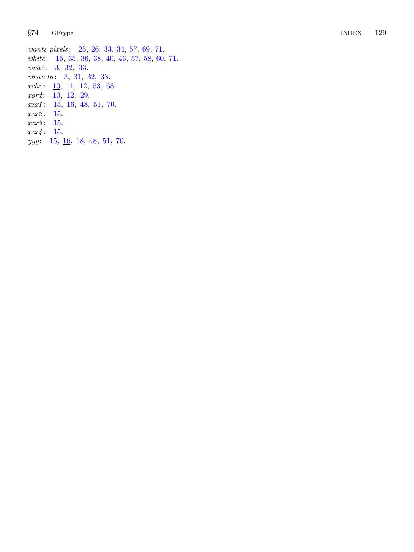wants\_pixels: [25](#page-11-0), [26](#page-11-0), [33](#page-12-0), [34](#page-12-0), [57](#page-18-0), [69](#page-22-0), [71](#page-23-0). white: [15](#page-6-0), [35](#page-13-0), [36](#page-13-0), [38](#page-13-0), [40](#page-14-0), [43](#page-14-0), [57](#page-18-0), [58](#page-19-0), [60](#page-19-0), [71](#page-23-0). write: [3](#page-1-0), [32](#page-12-0), [33](#page-12-0). write\_ln: [3](#page-1-0), [31](#page-12-0), [32](#page-12-0), [33](#page-12-0).  $xchr: \underline{10}, 11, 12, 53, 68.$  $xchr: \underline{10}, 11, 12, 53, 68.$  $xchr: \underline{10}, 11, 12, 53, 68.$  $xchr: \underline{10}, 11, 12, 53, 68.$  $xchr: \underline{10}, 11, 12, 53, 68.$  $xchr: \underline{10}, 11, 12, 53, 68.$  $xchr: \underline{10}, 11, 12, 53, 68.$  $xchr: \underline{10}, 11, 12, 53, 68.$  $xchr: \underline{10}, 11, 12, 53, 68.$  $xchr: \underline{10}, 11, 12, 53, 68.$  $xchr: \underline{10}, 11, 12, 53, 68.$ xord: [10](#page-3-0), [12](#page-4-0), [29](#page-11-0).  $xxx1: 15, 16, 48, 51, 70.$  $xxx1: 15, 16, 48, 51, 70.$  $xxx1: 15, 16, 48, 51, 70.$  $xxx1: 15, 16, 48, 51, 70.$  $xxx1: 15, 16, 48, 51, 70.$  $xxx1: 15, 16, 48, 51, 70.$  $xxx1: 15, 16, 48, 51, 70.$  $xxx1: 15, 16, 48, 51, 70.$  $xxx1: 15, 16, 48, 51, 70.$  $xxx1: 15, 16, 48, 51, 70.$  $xxx1: 15, 16, 48, 51, 70.$  $xxx2: 15.$  $xxx2: 15.$  $xxx2: 15.$ xxx3 : [15](#page-6-0) .  $xxx4: 15.$  $xxx4: 15.$  $xxx4: 15.$  $yyy: \quad 15, \underline{16}, \underline{18}, \underline{48}, \underline{51}, \underline{70}.$  $yyy: \quad 15, \underline{16}, \underline{18}, \underline{48}, \underline{51}, \underline{70}.$  $yyy: \quad 15, \underline{16}, \underline{18}, \underline{48}, \underline{51}, \underline{70}.$  $yyy: \quad 15, \underline{16}, \underline{18}, \underline{48}, \underline{51}, \underline{70}.$  $yyy: \quad 15, \underline{16}, \underline{18}, \underline{48}, \underline{51}, \underline{70}.$  $yyy: \quad 15, \underline{16}, \underline{18}, \underline{48}, \underline{51}, \underline{70}.$  $yyy: \quad 15, \underline{16}, \underline{18}, \underline{48}, \underline{51}, \underline{70}.$  $yyy: \quad 15, \underline{16}, \underline{18}, \underline{48}, \underline{51}, \underline{70}.$  $yyy: \quad 15, \underline{16}, \underline{18}, \underline{48}, \underline{51}, \underline{70}.$  $yyy: \quad 15, \underline{16}, \underline{18}, \underline{48}, \underline{51}, \underline{70}.$  $yyy: \quad 15, \underline{16}, \underline{18}, \underline{48}, \underline{51}, \underline{70}.$  $yyy: \quad 15, \underline{16}, \underline{18}, \underline{48}, \underline{51}, \underline{70}.$  $yyy: \quad 15, \underline{16}, \underline{18}, \underline{48}, \underline{51}, \underline{70}.$